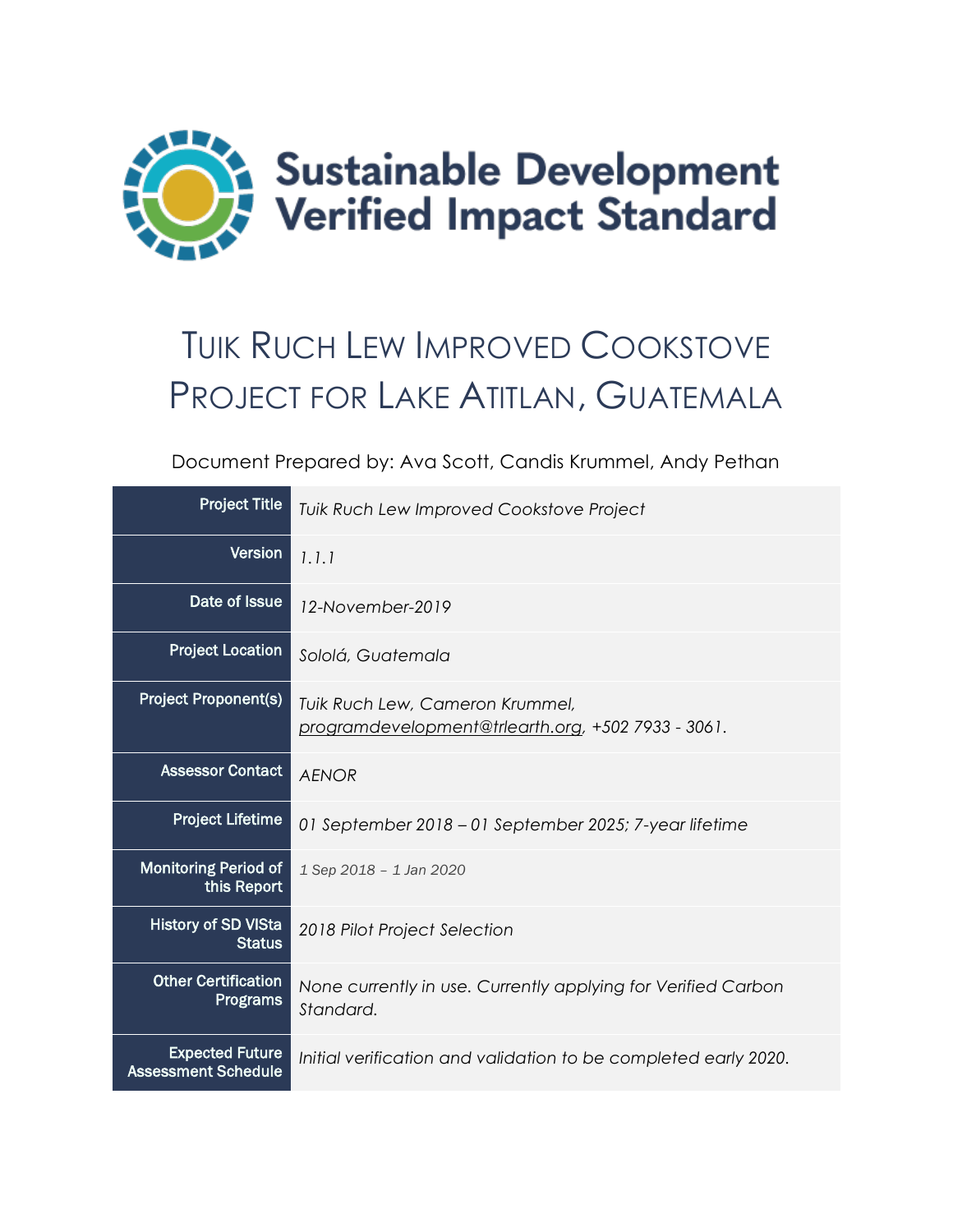

# TUIK RUCH LEW IMPROVED COOKSTOVE PROJECT FOR LAKE ATITLAN, GUATEMALA

Document Prepared by: Ava Scott, Candis Krummel, Andy Pethan

| <b>Project Title</b>                                 | Tuik Ruch Lew Improved Cookstove Project                                              |
|------------------------------------------------------|---------------------------------------------------------------------------------------|
| Version                                              | 1.1.1                                                                                 |
| Date of Issue                                        | 12-November-2019                                                                      |
| <b>Project Location</b>                              | Sololá, Guatemala                                                                     |
| <b>Project Proponent(s)</b>                          | Tuik Ruch Lew, Cameron Krummel,<br>programdevelopment@trlearth.org, +502 7933 - 3061. |
| <b>Assessor Contact</b>                              | <b>AENOR</b>                                                                          |
| <b>Project Lifetime</b>                              | 01 September 2018 - 01 September 2025; 7-year lifetime                                |
| <b>Monitoring Period of</b><br>this Report           | 1 Sep 2018 - 1 Jan 2020                                                               |
| <b>History of SD VISta</b><br><b>Status</b>          | 2018 Pilot Project Selection                                                          |
| <b>Other Certification</b><br><b>Programs</b>        | None currently in use. Currently applying for Verified Carbon<br>Standard.            |
| <b>Expected Future</b><br><b>Assessment Schedule</b> | Initial verification and validation to be completed early 2020.                       |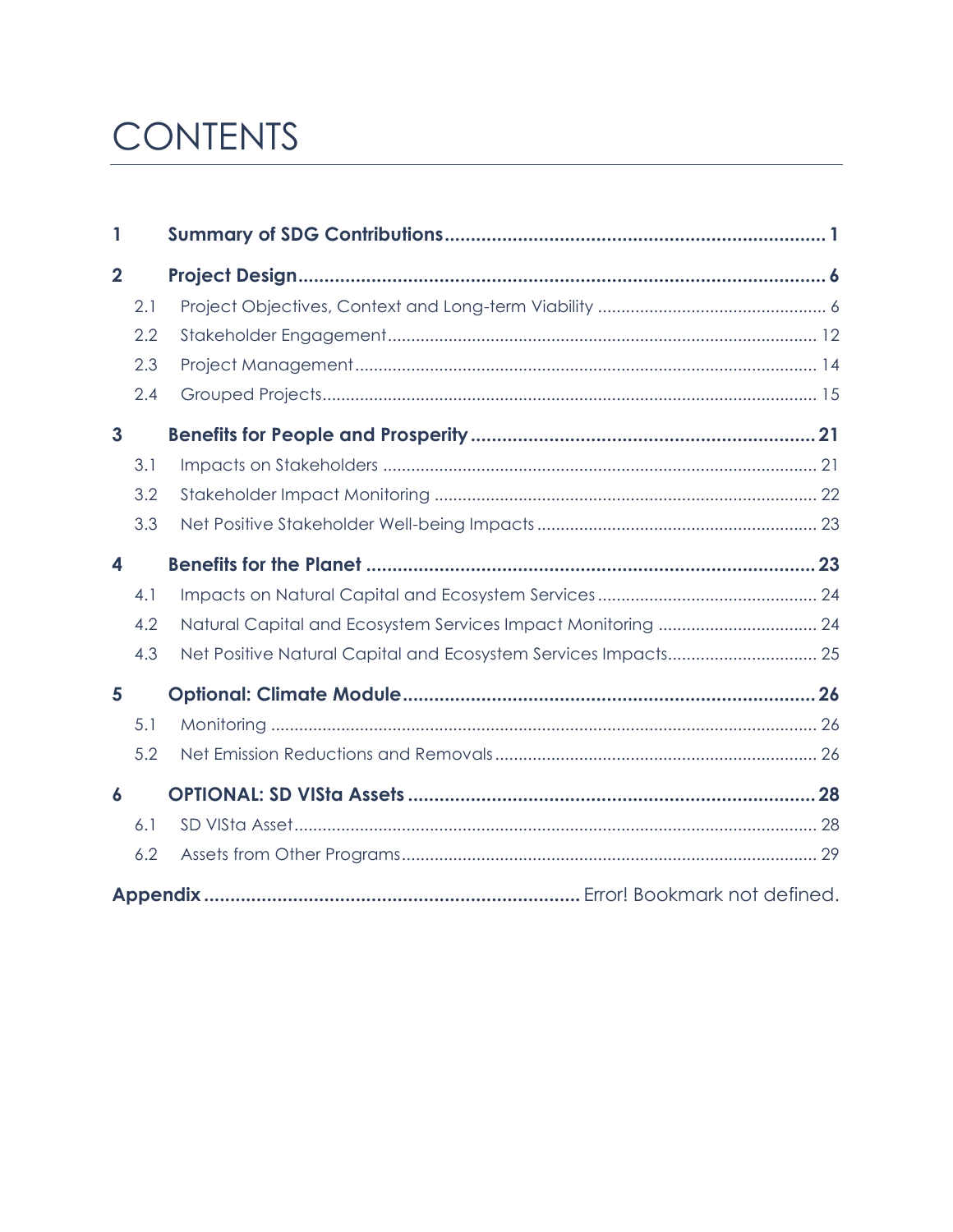# CONTENTS

| 1                |     |  |
|------------------|-----|--|
| $\overline{2}$   |     |  |
|                  | 2.1 |  |
|                  | 2.2 |  |
|                  | 2.3 |  |
|                  | 2.4 |  |
| $\overline{3}$   |     |  |
|                  | 3.1 |  |
|                  | 3.2 |  |
|                  | 3.3 |  |
| 4                |     |  |
|                  | 4.1 |  |
|                  | 4.2 |  |
|                  | 4.3 |  |
| 5                |     |  |
|                  | 5.1 |  |
|                  | 5.2 |  |
| $\boldsymbol{6}$ |     |  |
|                  | 6.1 |  |
|                  | 6.2 |  |
|                  |     |  |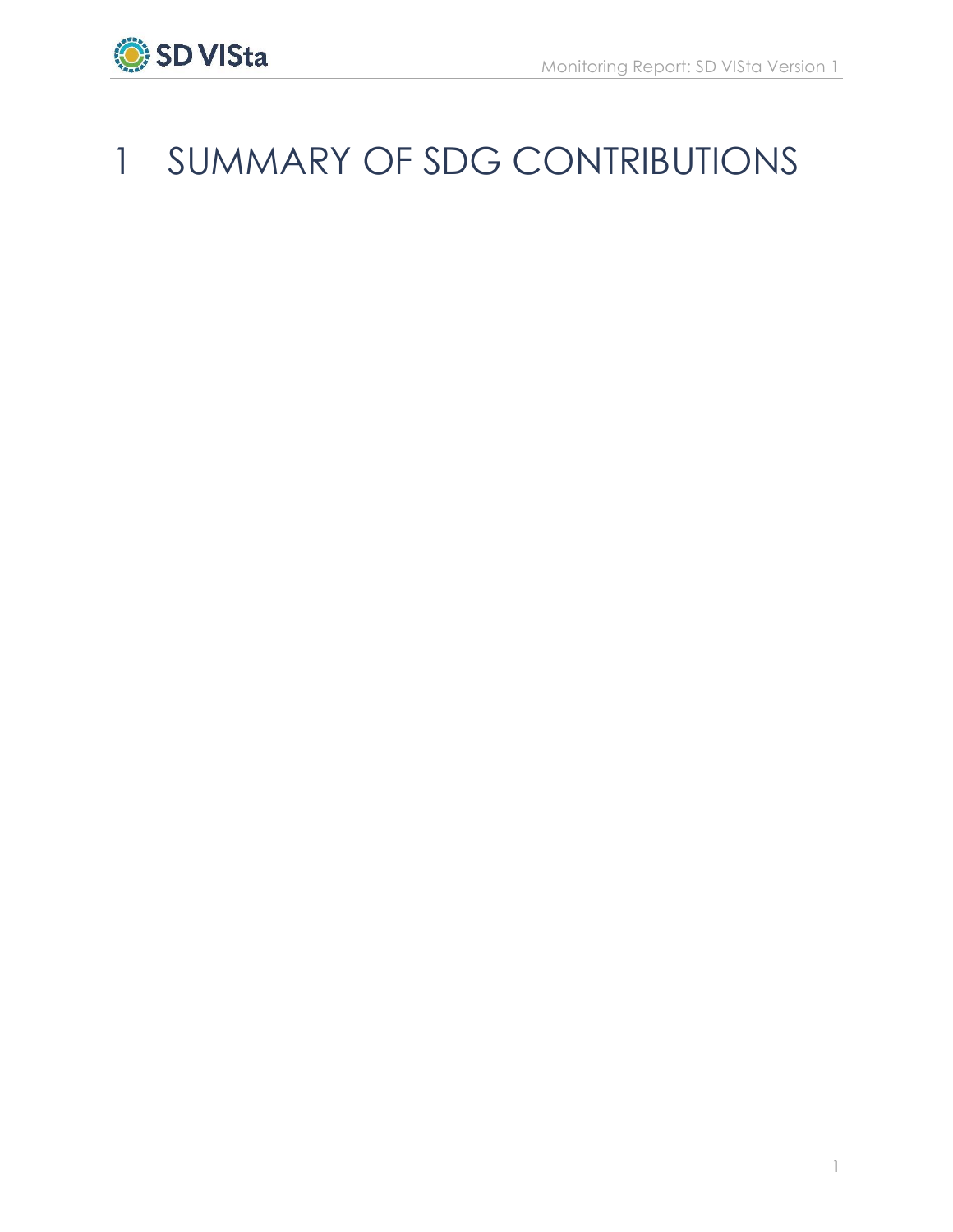

# <span id="page-2-0"></span>SUMMARY OF SDG CONTRIBUTIONS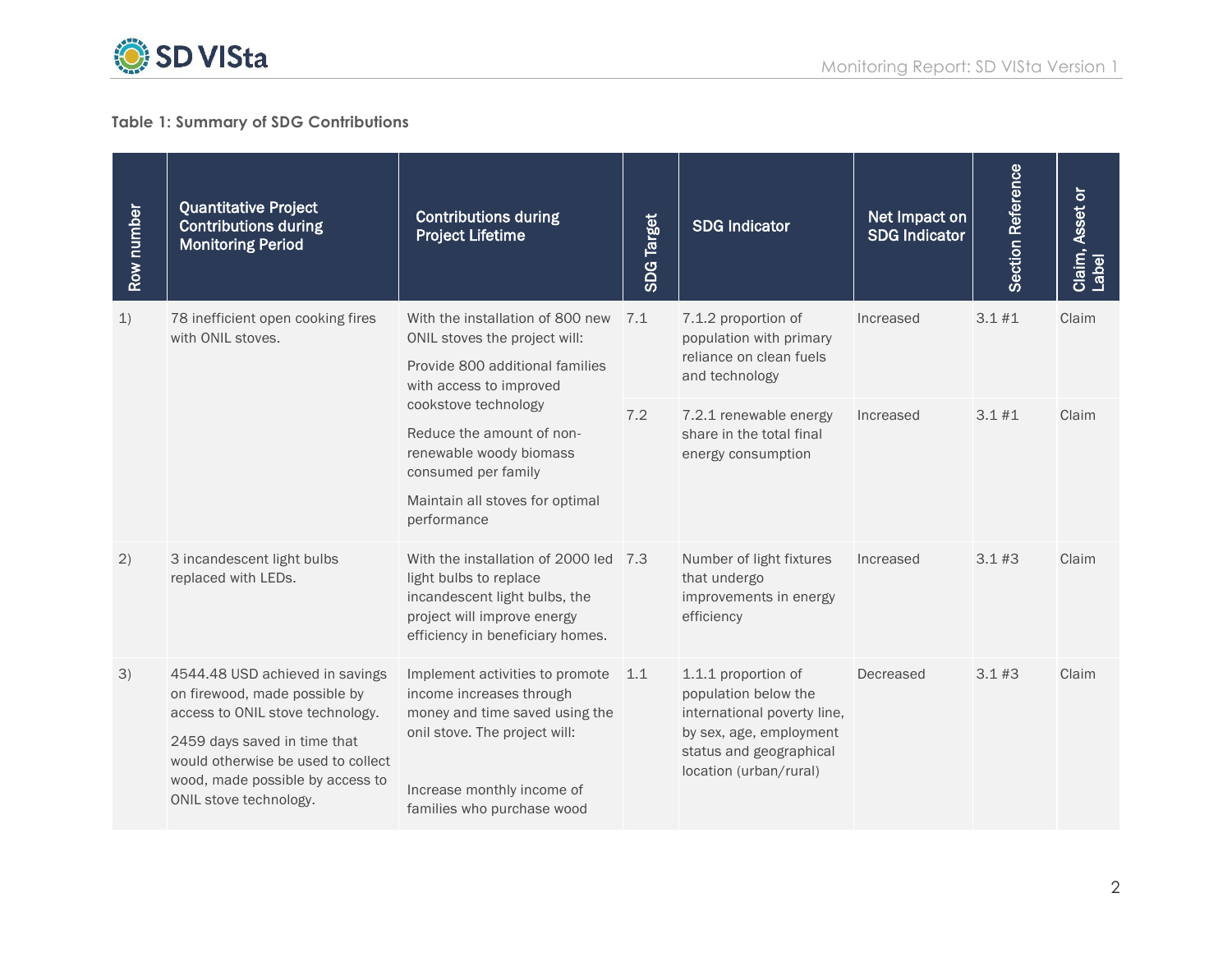

#### **Table 1: Summary of SDG Contributions**

| Row number              | <b>Quantitative Project</b><br><b>Contributions during</b><br><b>Monitoring Period</b>                                                                                                                                                   | <b>Contributions during</b><br><b>Project Lifetime</b>                                                                                                                                                                                                                                   | <b>SDG Target</b> | <b>SDG Indicator</b>                                                                                                                                       | Net Impact on<br><b>SDG Indicator</b> | Section Reference | Claim, Asset or<br>Label |
|-------------------------|------------------------------------------------------------------------------------------------------------------------------------------------------------------------------------------------------------------------------------------|------------------------------------------------------------------------------------------------------------------------------------------------------------------------------------------------------------------------------------------------------------------------------------------|-------------------|------------------------------------------------------------------------------------------------------------------------------------------------------------|---------------------------------------|-------------------|--------------------------|
| 1)<br>with ONIL stoves. | 78 inefficient open cooking fires                                                                                                                                                                                                        | With the installation of 800 new<br>ONIL stoves the project will:<br>Provide 800 additional families<br>with access to improved<br>cookstove technology<br>Reduce the amount of non-<br>renewable woody biomass<br>consumed per family<br>Maintain all stoves for optimal<br>performance | 7.1               | 7.1.2 proportion of<br>population with primary<br>reliance on clean fuels<br>and technology                                                                | Increased                             | 3.1#1             | Claim                    |
|                         |                                                                                                                                                                                                                                          |                                                                                                                                                                                                                                                                                          | 7.2               | 7.2.1 renewable energy<br>share in the total final<br>energy consumption                                                                                   | Increased                             | 3.1#1             | Claim                    |
| 2)                      | 3 incandescent light bulbs<br>replaced with LEDs.                                                                                                                                                                                        | With the installation of 2000 led 7.3<br>light bulbs to replace<br>incandescent light bulbs, the<br>project will improve energy<br>efficiency in beneficiary homes.                                                                                                                      |                   | Number of light fixtures<br>that undergo<br>improvements in energy<br>efficiency                                                                           | Increased                             | 3.1#3             | Claim                    |
| 3)                      | 4544.48 USD achieved in savings<br>on firewood, made possible by<br>access to ONIL stove technology.<br>2459 days saved in time that<br>would otherwise be used to collect<br>wood, made possible by access to<br>ONIL stove technology. | Implement activities to promote<br>income increases through<br>money and time saved using the<br>onil stove. The project will:<br>Increase monthly income of<br>families who purchase wood                                                                                               | 1.1               | 1.1.1 proportion of<br>population below the<br>international poverty line,<br>by sex, age, employment<br>status and geographical<br>location (urban/rural) | Decreased                             | 3.1#3             | Claim                    |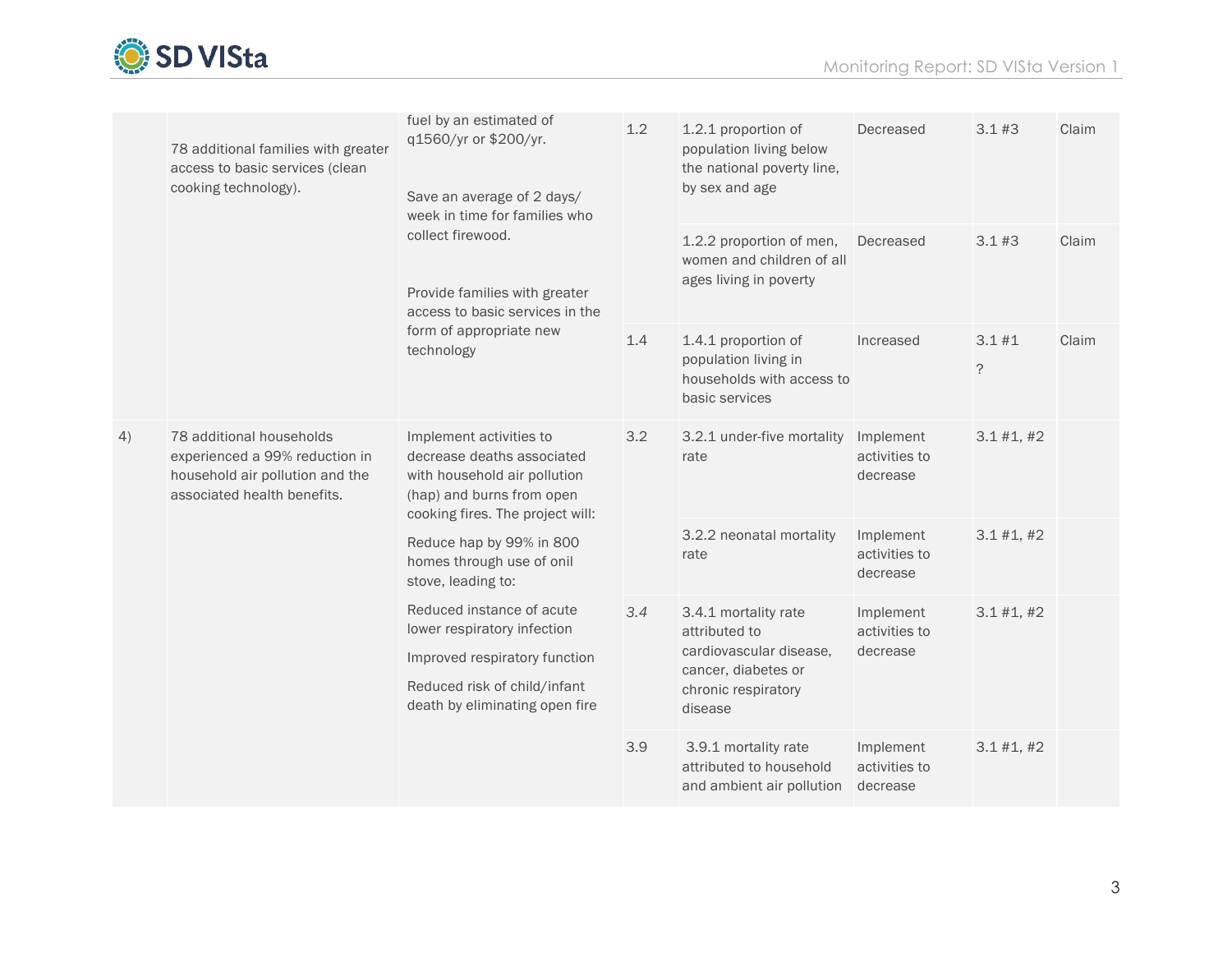

|    | 78 additional families with greater<br>access to basic services (clean<br>cooking technology).                               | fuel by an estimated of<br>q1560/yr or \$200/yr.<br>Save an average of 2 days/<br>week in time for families who<br>collect firewood.<br>Provide families with greater<br>access to basic services in the<br>form of appropriate new<br>technology | 1.2 | 1.2.1 proportion of<br>population living below<br>the national poverty line,<br>by sex and age                            | Decreased                              | 3.1#3                | Claim |
|----|------------------------------------------------------------------------------------------------------------------------------|---------------------------------------------------------------------------------------------------------------------------------------------------------------------------------------------------------------------------------------------------|-----|---------------------------------------------------------------------------------------------------------------------------|----------------------------------------|----------------------|-------|
|    |                                                                                                                              |                                                                                                                                                                                                                                                   |     | 1.2.2 proportion of men,<br>women and children of all<br>ages living in poverty                                           | Decreased                              | $3.1 \#3$            | Claim |
|    |                                                                                                                              |                                                                                                                                                                                                                                                   | 1.4 | 1.4.1 proportion of<br>population living in<br>households with access to<br>basic services                                | Increased                              | 3.1#1<br>$\tilde{?}$ | Claim |
| 4) | 78 additional households<br>experienced a 99% reduction in<br>household air pollution and the<br>associated health benefits. | Implement activities to<br>decrease deaths associated<br>with household air pollution<br>(hap) and burns from open<br>cooking fires. The project will:                                                                                            | 3.2 | 3.2.1 under-five mortality<br>rate                                                                                        | Implement<br>activities to<br>decrease | 3.1 #1, #2           |       |
|    |                                                                                                                              | Reduce hap by 99% in 800<br>homes through use of onil<br>stove, leading to:<br>Reduced instance of acute<br>lower respiratory infection<br>Improved respiratory function<br>Reduced risk of child/infant<br>death by eliminating open fire        |     | 3.2.2 neonatal mortality<br>rate                                                                                          | Implement<br>activities to<br>decrease | 3.1 #1, #2           |       |
|    |                                                                                                                              |                                                                                                                                                                                                                                                   | 3.4 | 3.4.1 mortality rate<br>attributed to<br>cardiovascular disease,<br>cancer, diabetes or<br>chronic respiratory<br>disease | Implement<br>activities to<br>decrease | 3.1 #1, #2           |       |
|    |                                                                                                                              |                                                                                                                                                                                                                                                   | 3.9 | 3.9.1 mortality rate<br>attributed to household<br>and ambient air pollution                                              | Implement<br>activities to<br>decrease | 3.1 #1, #2           |       |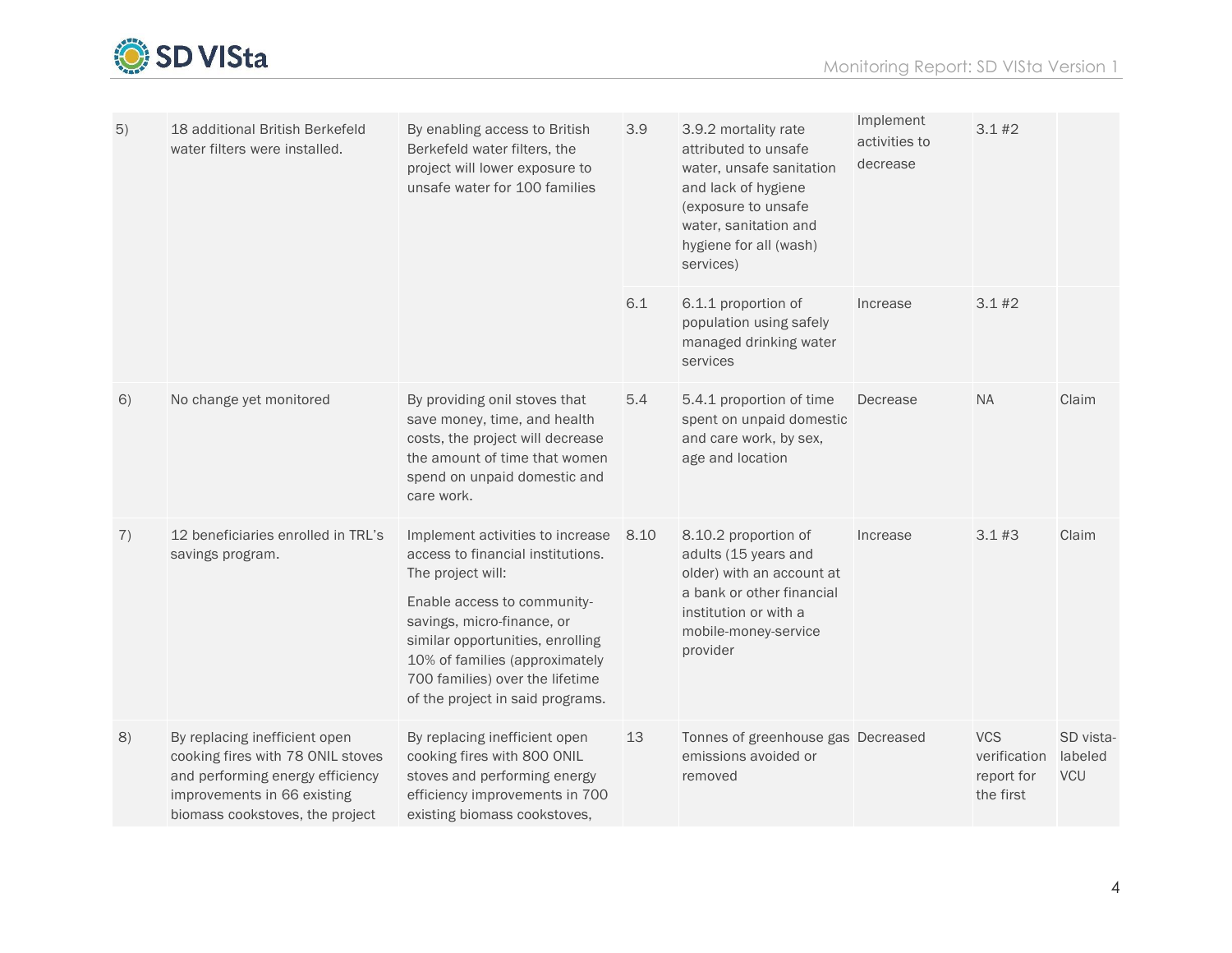

| 5) | 18 additional British Berkefeld<br>water filters were installed.                                                                                                         | By enabling access to British<br>Berkefeld water filters, the<br>project will lower exposure to<br>unsafe water for 100 families                                                                                                                                                                     | 3.9  | 3.9.2 mortality rate<br>attributed to unsafe<br>water, unsafe sanitation<br>and lack of hygiene<br>(exposure to unsafe<br>water, sanitation and<br>hygiene for all (wash)<br>services) | Implement<br>activities to<br>decrease | 3.1#2                                                 |                                    |
|----|--------------------------------------------------------------------------------------------------------------------------------------------------------------------------|------------------------------------------------------------------------------------------------------------------------------------------------------------------------------------------------------------------------------------------------------------------------------------------------------|------|----------------------------------------------------------------------------------------------------------------------------------------------------------------------------------------|----------------------------------------|-------------------------------------------------------|------------------------------------|
|    |                                                                                                                                                                          |                                                                                                                                                                                                                                                                                                      | 6.1  | 6.1.1 proportion of<br>population using safely<br>managed drinking water<br>services                                                                                                   | Increase                               | 3.1#2                                                 |                                    |
| 6) | No change yet monitored                                                                                                                                                  | By providing onil stoves that<br>save money, time, and health<br>costs, the project will decrease<br>the amount of time that women<br>spend on unpaid domestic and<br>care work.                                                                                                                     | 5.4  | 5.4.1 proportion of time<br>spent on unpaid domestic<br>and care work, by sex,<br>age and location                                                                                     | Decrease                               | <b>NA</b>                                             | Claim                              |
| 7) | 12 beneficiaries enrolled in TRL's<br>savings program.                                                                                                                   | Implement activities to increase<br>access to financial institutions.<br>The project will:<br>Enable access to community-<br>savings, micro-finance, or<br>similar opportunities, enrolling<br>10% of families (approximately<br>700 families) over the lifetime<br>of the project in said programs. | 8.10 | 8.10.2 proportion of<br>adults (15 years and<br>older) with an account at<br>a bank or other financial<br>institution or with a<br>mobile-money-service<br>provider                    | Increase                               | 3.1#3                                                 | Claim                              |
| 8) | By replacing inefficient open<br>cooking fires with 78 ONIL stoves<br>and performing energy efficiency<br>improvements in 66 existing<br>biomass cookstoves, the project | By replacing inefficient open<br>cooking fires with 800 ONIL<br>stoves and performing energy<br>efficiency improvements in 700<br>existing biomass cookstoves,                                                                                                                                       | 13   | Tonnes of greenhouse gas Decreased<br>emissions avoided or<br>removed                                                                                                                  |                                        | <b>VCS</b><br>verification<br>report for<br>the first | SD vista-<br>labeled<br><b>VCU</b> |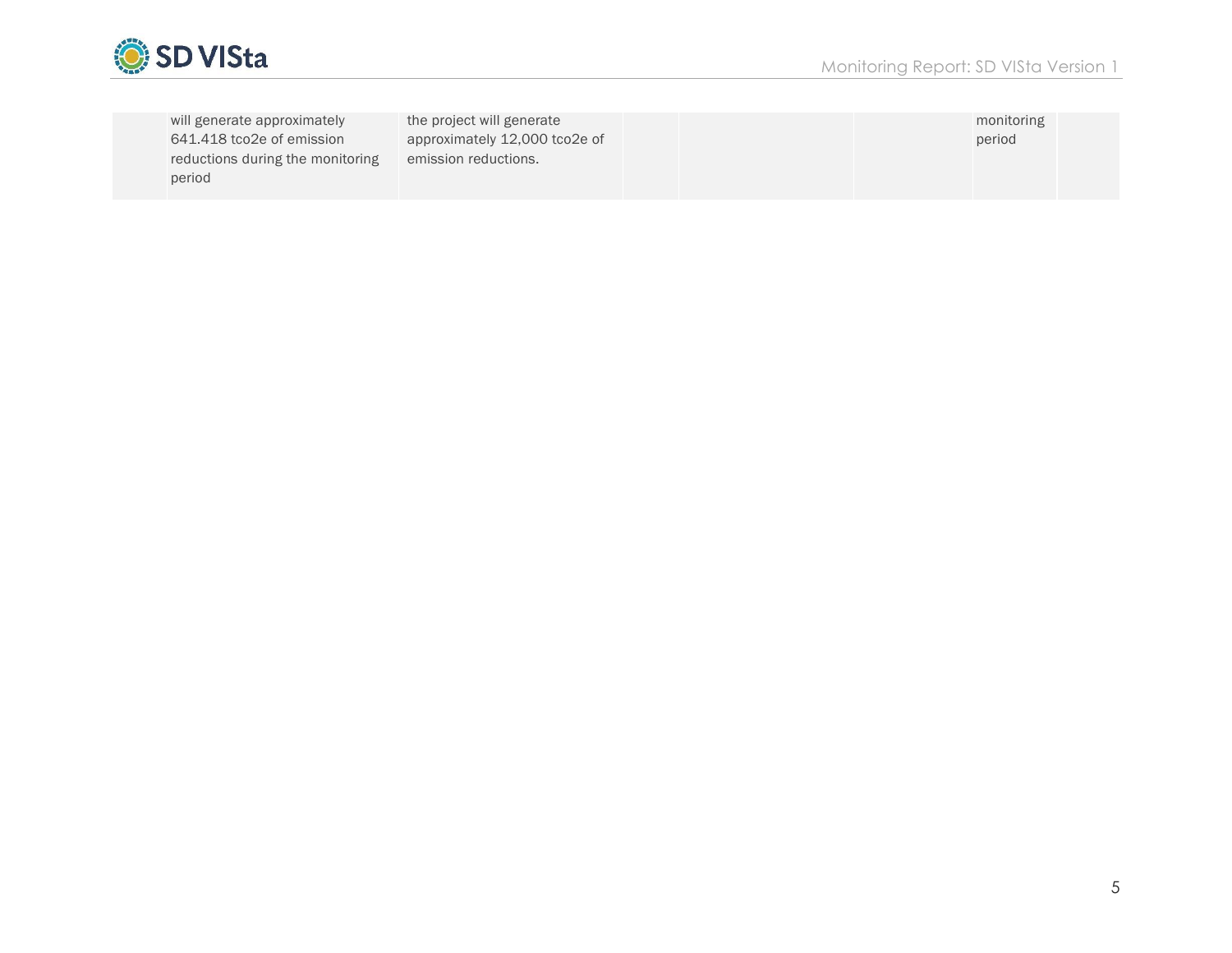

| will generate approximately      | the project will generate     |  | monitoring |  |
|----------------------------------|-------------------------------|--|------------|--|
| 641.418 tco2e of emission        | approximately 12,000 tco2e of |  | period     |  |
| reductions during the monitoring | emission reductions.          |  |            |  |
| period                           |                               |  |            |  |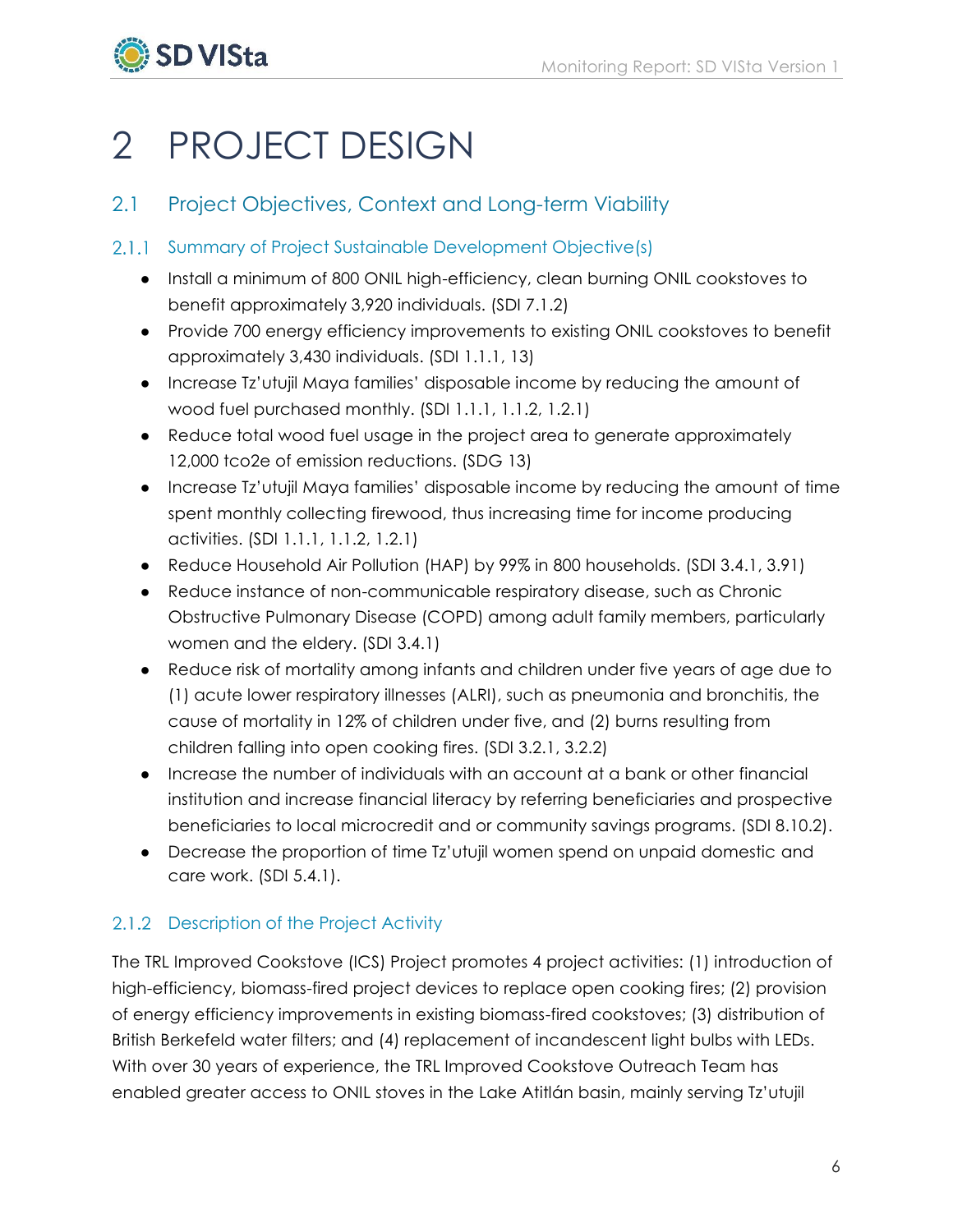

# <span id="page-7-0"></span>2 PROJECT DESIGN

## <span id="page-7-1"></span>2.1 Project Objectives, Context and Long-term Viability

## 2.1.1 Summary of Project Sustainable Development Objective(s)

- Install a minimum of 800 ONIL high-efficiency, clean burning ONIL cookstoves to benefit approximately 3,920 individuals. (SDI 7.1.2)
- Provide 700 energy efficiency improvements to existing ONIL cookstoves to benefit approximately 3,430 individuals. (SDI 1.1.1, 13)
- Increase Tz'utujil Maya families' disposable income by reducing the amount of wood fuel purchased monthly. (SDI 1.1.1, 1.1.2, 1.2.1)
- Reduce total wood fuel usage in the project area to generate approximately 12,000 tco2e of emission reductions. (SDG 13)
- Increase Tz'utujil Maya families' disposable income by reducing the amount of time spent monthly collecting firewood, thus increasing time for income producing activities. (SDI 1.1.1, 1.1.2, 1.2.1)
- Reduce Household Air Pollution (HAP) by 99% in 800 households. (SDI 3.4.1, 3.91)
- Reduce instance of non-communicable respiratory disease, such as Chronic Obstructive Pulmonary Disease (COPD) among adult family members, particularly women and the eldery. (SDI 3.4.1)
- Reduce risk of mortality among infants and children under five years of age due to (1) acute lower respiratory illnesses (ALRI), such as pneumonia and bronchitis, the cause of mortality in 12% of children under five, and (2) burns resulting from children falling into open cooking fires. (SDI 3.2.1, 3.2.2)
- Increase the number of individuals with an account at a bank or other financial institution and increase financial literacy by referring beneficiaries and prospective beneficiaries to local microcredit and or community savings programs. (SDI 8.10.2).
- Decrease the proportion of time Tz'utujil women spend on unpaid domestic and care work. (SDI 5.4.1).

## 2.1.2 Description of the Project Activity

The TRL Improved Cookstove (ICS) Project promotes 4 project activities: (1) introduction of high-efficiency, biomass-fired project devices to replace open cooking fires; (2) provision of energy efficiency improvements in existing biomass-fired cookstoves; (3) distribution of British Berkefeld water filters; and (4) replacement of incandescent light bulbs with LEDs. With over 30 years of experience, the TRL Improved Cookstove Outreach Team has enabled greater access to ONIL stoves in the Lake Atitlán basin, mainly serving Tz'utujil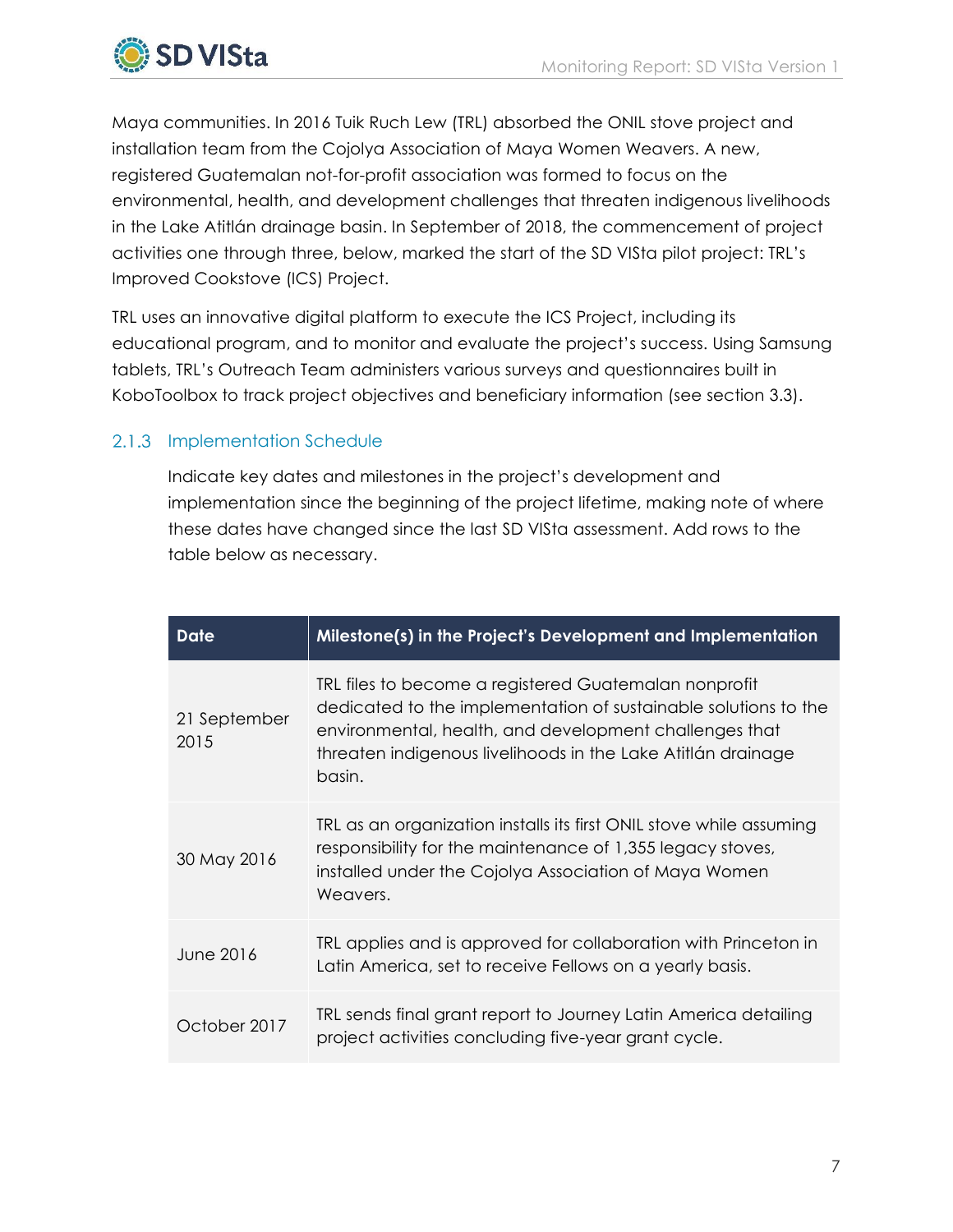

Maya communities. In 2016 Tuik Ruch Lew (TRL) absorbed the ONIL stove project and installation team from the Cojolya Association of Maya Women Weavers. A new, registered Guatemalan not-for-profit association was formed to focus on the environmental, health, and development challenges that threaten indigenous livelihoods in the Lake Atitlán drainage basin. In September of 2018, the commencement of project activities one through three, below, marked the start of the SD VISta pilot project: TRL's Improved Cookstove (ICS) Project.

TRL uses an innovative digital platform to execute the ICS Project, including its educational program, and to monitor and evaluate the project's success. Using Samsung tablets, TRL's Outreach Team administers various surveys and questionnaires built in KoboToolbox to track project objectives and beneficiary information (see section 3.3).

## 2.1.3 Implementation Schedule

Indicate key dates and milestones in the project's development and implementation since the beginning of the project lifetime, making note of where these dates have changed since the last SD VISta assessment. Add rows to the table below as necessary.

| <b>Date</b>          | Milestone(s) in the Project's Development and Implementation                                                                                                                                                                                                 |
|----------------------|--------------------------------------------------------------------------------------------------------------------------------------------------------------------------------------------------------------------------------------------------------------|
| 21 September<br>2015 | TRL files to become a registered Guatemalan nonprofit<br>dedicated to the implementation of sustainable solutions to the<br>environmental, health, and development challenges that<br>threaten indigenous livelihoods in the Lake Atitlán drainage<br>basin. |
| 30 May 2016          | TRL as an organization installs its first ONIL stove while assuming<br>responsibility for the maintenance of 1,355 legacy stoves,<br>installed under the Cojolya Association of Maya Women<br>Weavers.                                                       |
| June 2016            | TRL applies and is approved for collaboration with Princeton in<br>Latin America, set to receive Fellows on a yearly basis.                                                                                                                                  |
| October 2017         | TRL sends final grant report to Journey Latin America detailing<br>project activities concluding five-year grant cycle.                                                                                                                                      |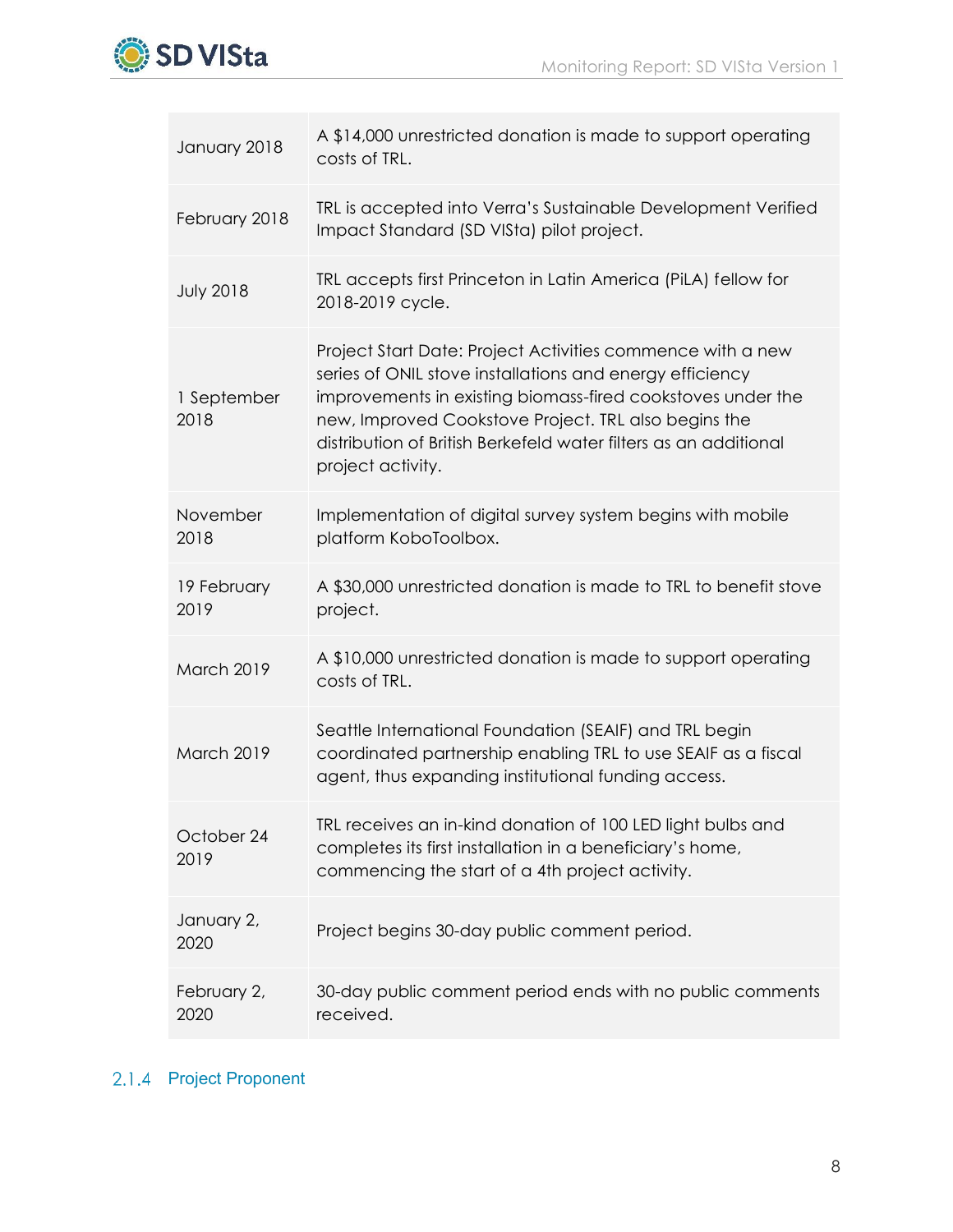

| January 2018        | A \$14,000 unrestricted donation is made to support operating<br>costs of TRL.                                                                                                                                                                                                                                                         |
|---------------------|----------------------------------------------------------------------------------------------------------------------------------------------------------------------------------------------------------------------------------------------------------------------------------------------------------------------------------------|
| February 2018       | TRL is accepted into Verra's Sustainable Development Verified<br>Impact Standard (SD VISta) pilot project.                                                                                                                                                                                                                             |
| <b>July 2018</b>    | TRL accepts first Princeton in Latin America (PiLA) fellow for<br>2018-2019 cycle.                                                                                                                                                                                                                                                     |
| 1 September<br>2018 | Project Start Date: Project Activities commence with a new<br>series of ONIL stove installations and energy efficiency<br>improvements in existing biomass-fired cookstoves under the<br>new, Improved Cookstove Project. TRL also begins the<br>distribution of British Berkefeld water filters as an additional<br>project activity. |
| November<br>2018    | Implementation of digital survey system begins with mobile<br>platform KoboToolbox.                                                                                                                                                                                                                                                    |
| 19 February<br>2019 | A \$30,000 unrestricted donation is made to TRL to benefit stove<br>project.                                                                                                                                                                                                                                                           |
| March 2019          | A \$10,000 unrestricted donation is made to support operating<br>costs of TRL.                                                                                                                                                                                                                                                         |
| March 2019          | Seattle International Foundation (SEAIF) and TRL begin<br>coordinated partnership enabling TRL to use SEAIF as a fiscal<br>agent, thus expanding institutional funding access.                                                                                                                                                         |
| October 24<br>2019  | TRL receives an in-kind donation of 100 LED light bulbs and<br>completes its first installation in a beneficiary's home,<br>commencing the start of a 4th project activity.                                                                                                                                                            |
| January 2,<br>2020  | Project begins 30-day public comment period.                                                                                                                                                                                                                                                                                           |
| February 2,<br>2020 | 30-day public comment period ends with no public comments<br>received.                                                                                                                                                                                                                                                                 |

## 2.1.4 Project Proponent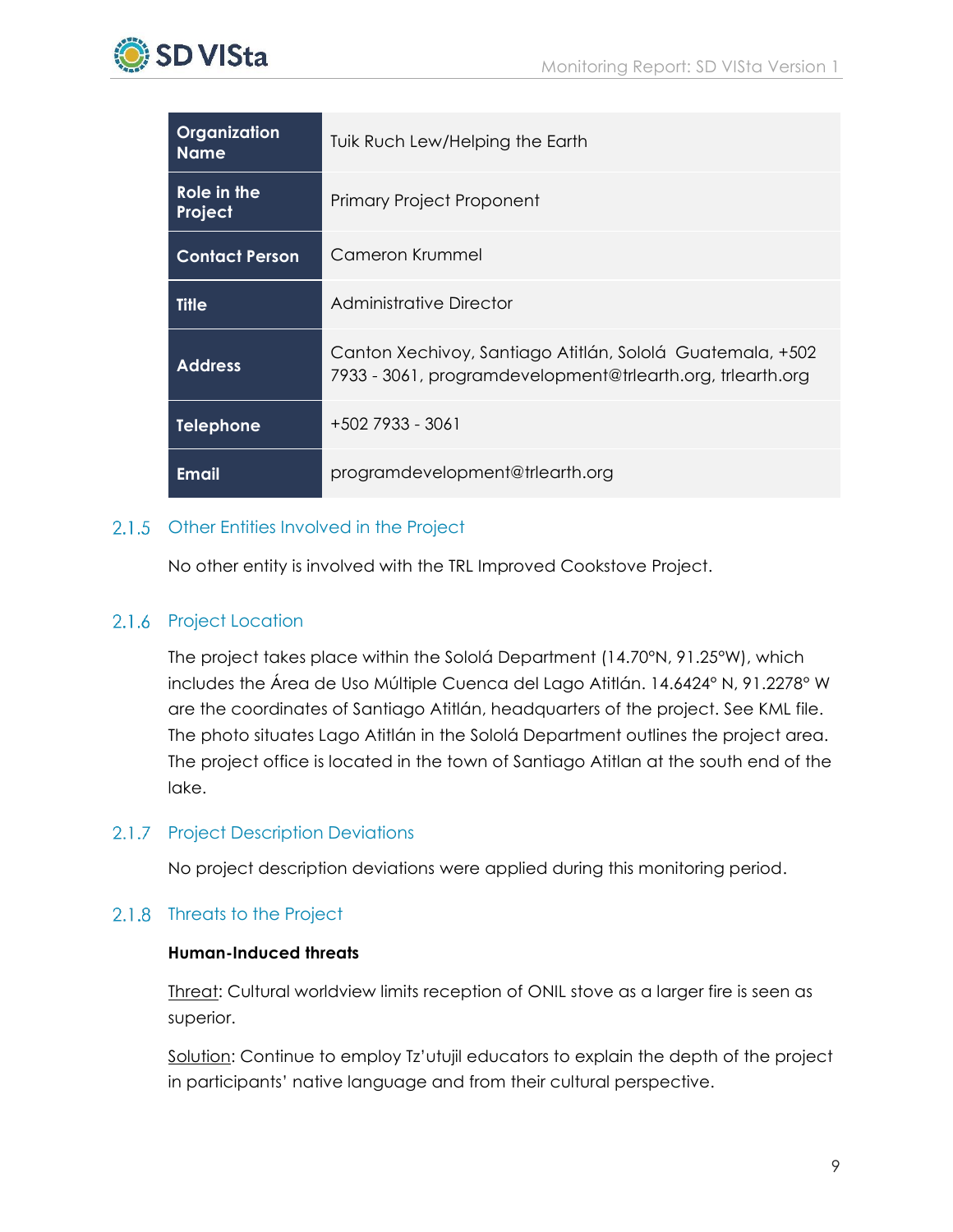

| Organization<br><b>Name</b> | Tuik Ruch Lew/Helping the Earth                                                                                         |
|-----------------------------|-------------------------------------------------------------------------------------------------------------------------|
| Role in the<br>Project      | <b>Primary Project Proponent</b>                                                                                        |
| <b>Contact Person</b>       | Cameron Krummel                                                                                                         |
| <b>Title</b>                | Administrative Director                                                                                                 |
| <b>Address</b>              | Canton Xechivoy, Santiago Atitlán, Sololá Guatemala, +502<br>7933 - 3061, programdevelopment@trlearth.org, trlearth.org |
| <b>Telephone</b>            | $+5027933 - 3061$                                                                                                       |
| <b>Email</b>                | programdevelopment@trlearth.org                                                                                         |

## 2.1.5 Other Entities Involved in the Project

No other entity is involved with the TRL Improved Cookstove Project.

## 2.1.6 Project Location

The project takes place within the Sololá Department (14.70°N, 91.25°W), which includes the Área de Uso Múltiple Cuenca del Lago Atitlán. 14.6424° N, 91.2278° W are the coordinates of Santiago Atitlán, headquarters of the project. See KML file. The photo situates Lago Atitlán in the Sololá Department outlines the project area. The project office is located in the town of Santiago Atitlan at the south end of the lake.

## 2.1.7 Project Description Deviations

No project description deviations were applied during this monitoring period.

## 2.1.8 Threats to the Project

#### **Human-Induced threats**

Threat: Cultural worldview limits reception of ONIL stove as a larger fire is seen as superior.

Solution: Continue to employ Tz'utujil educators to explain the depth of the project in participants' native language and from their cultural perspective.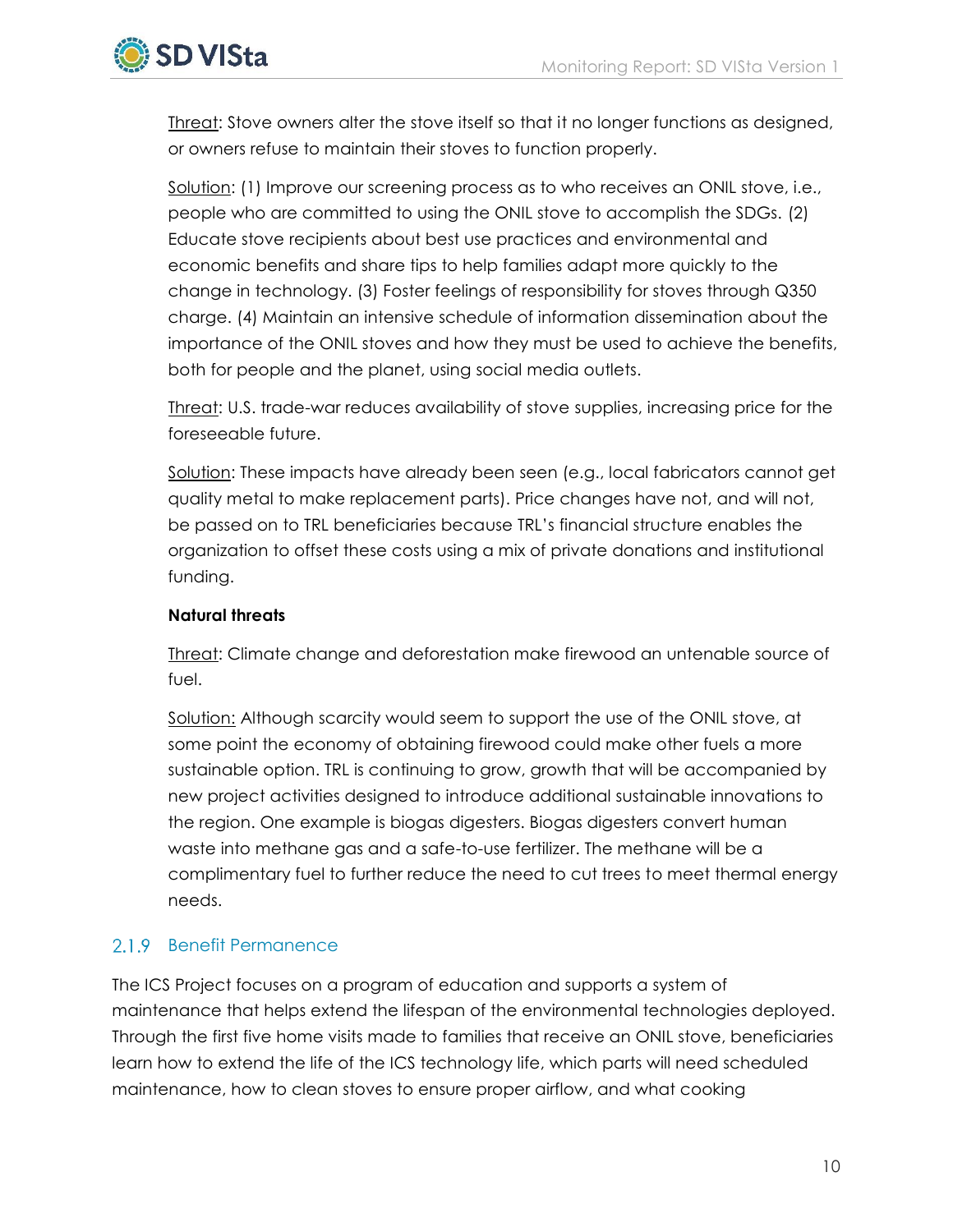

Threat: Stove owners alter the stove itself so that it no longer functions as designed, or owners refuse to maintain their stoves to function properly.

Solution: (1) Improve our screening process as to who receives an ONIL stove, i.e., people who are committed to using the ONIL stove to accomplish the SDGs. (2) Educate stove recipients about best use practices and environmental and economic benefits and share tips to help families adapt more quickly to the change in technology. (3) Foster feelings of responsibility for stoves through Q350 charge. (4) Maintain an intensive schedule of information dissemination about the importance of the ONIL stoves and how they must be used to achieve the benefits, both for people and the planet, using social media outlets.

Threat: U.S. trade-war reduces availability of stove supplies, increasing price for the foreseeable future.

Solution: These impacts have already been seen (e.g., local fabricators cannot get quality metal to make replacement parts). Price changes have not, and will not, be passed on to TRL beneficiaries because TRL's financial structure enables the organization to offset these costs using a mix of private donations and institutional funding.

#### **Natural threats**

Threat: Climate change and deforestation make firewood an untenable source of fuel.

Solution: Although scarcity would seem to support the use of the ONIL stove, at some point the economy of obtaining firewood could make other fuels a more sustainable option. TRL is continuing to grow, growth that will be accompanied by new project activities designed to introduce additional sustainable innovations to the region. One example is biogas digesters. Biogas digesters convert human waste into methane gas and a safe-to-use fertilizer. The methane will be a complimentary fuel to further reduce the need to cut trees to meet thermal energy needs.

## 2.1.9 Benefit Permanence

The ICS Project focuses on a program of education and supports a system of maintenance that helps extend the lifespan of the environmental technologies deployed. Through the first five home visits made to families that receive an ONIL stove, beneficiaries learn how to extend the life of the ICS technology life, which parts will need scheduled maintenance, how to clean stoves to ensure proper airflow, and what cooking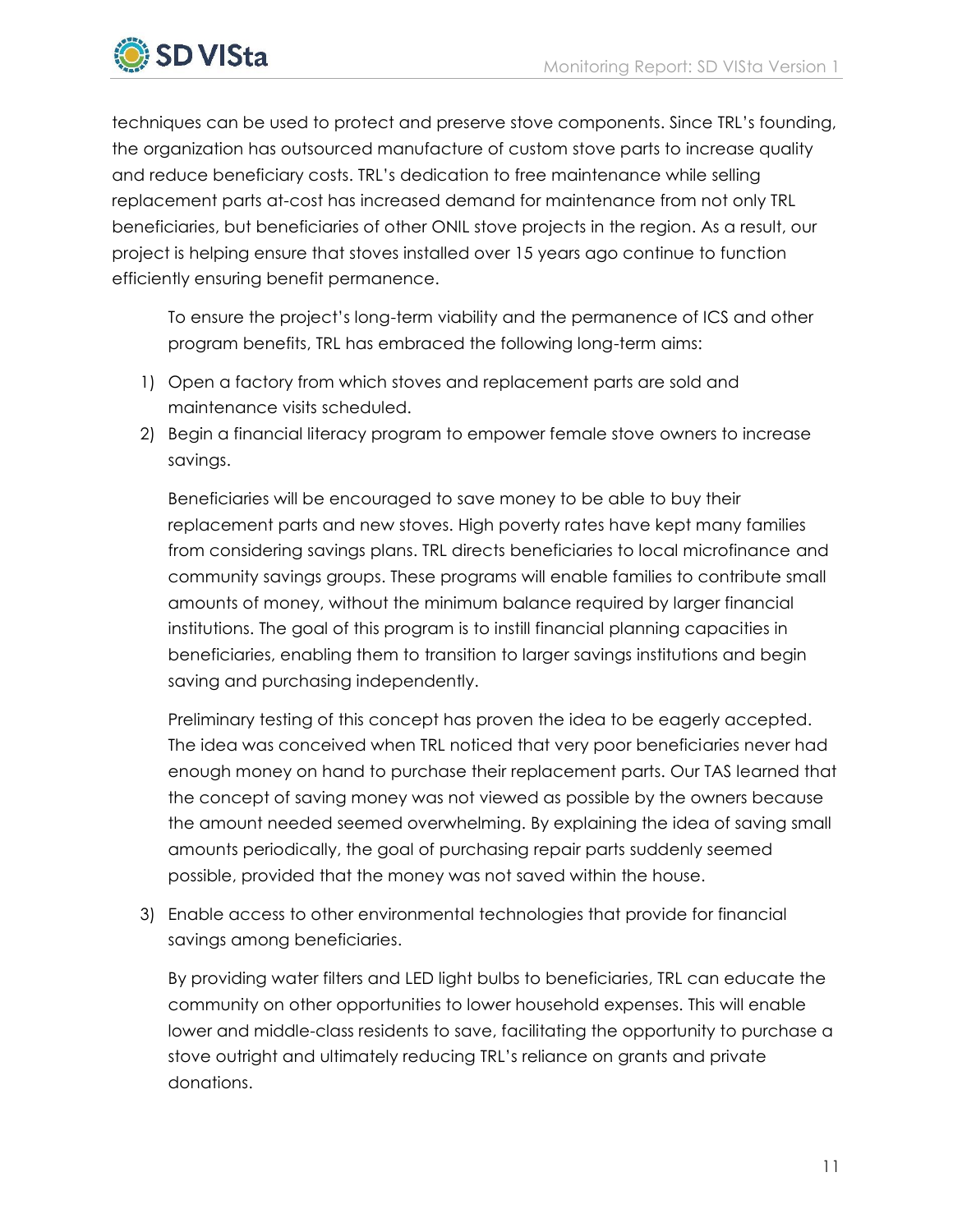

techniques can be used to protect and preserve stove components. Since TRL's founding, the organization has outsourced manufacture of custom stove parts to increase quality and reduce beneficiary costs. TRL's dedication to free maintenance while selling replacement parts at-cost has increased demand for maintenance from not only TRL beneficiaries, but beneficiaries of other ONIL stove projects in the region. As a result, our project is helping ensure that stoves installed over 15 years ago continue to function efficiently ensuring benefit permanence.

To ensure the project's long-term viability and the permanence of ICS and other program benefits, TRL has embraced the following long-term aims:

- 1) Open a factory from which stoves and replacement parts are sold and maintenance visits scheduled.
- 2) Begin a financial literacy program to empower female stove owners to increase savings.

Beneficiaries will be encouraged to save money to be able to buy their replacement parts and new stoves. High poverty rates have kept many families from considering savings plans. TRL directs beneficiaries to local microfinance and community savings groups. These programs will enable families to contribute small amounts of money, without the minimum balance required by larger financial institutions. The goal of this program is to instill financial planning capacities in beneficiaries, enabling them to transition to larger savings institutions and begin saving and purchasing independently.

Preliminary testing of this concept has proven the idea to be eagerly accepted. The idea was conceived when TRL noticed that very poor beneficiaries never had enough money on hand to purchase their replacement parts. Our TAS learned that the concept of saving money was not viewed as possible by the owners because the amount needed seemed overwhelming. By explaining the idea of saving small amounts periodically, the goal of purchasing repair parts suddenly seemed possible, provided that the money was not saved within the house.

3) Enable access to other environmental technologies that provide for financial savings among beneficiaries.

By providing water filters and LED light bulbs to beneficiaries, TRL can educate the community on other opportunities to lower household expenses. This will enable lower and middle-class residents to save, facilitating the opportunity to purchase a stove outright and ultimately reducing TRL's reliance on grants and private donations.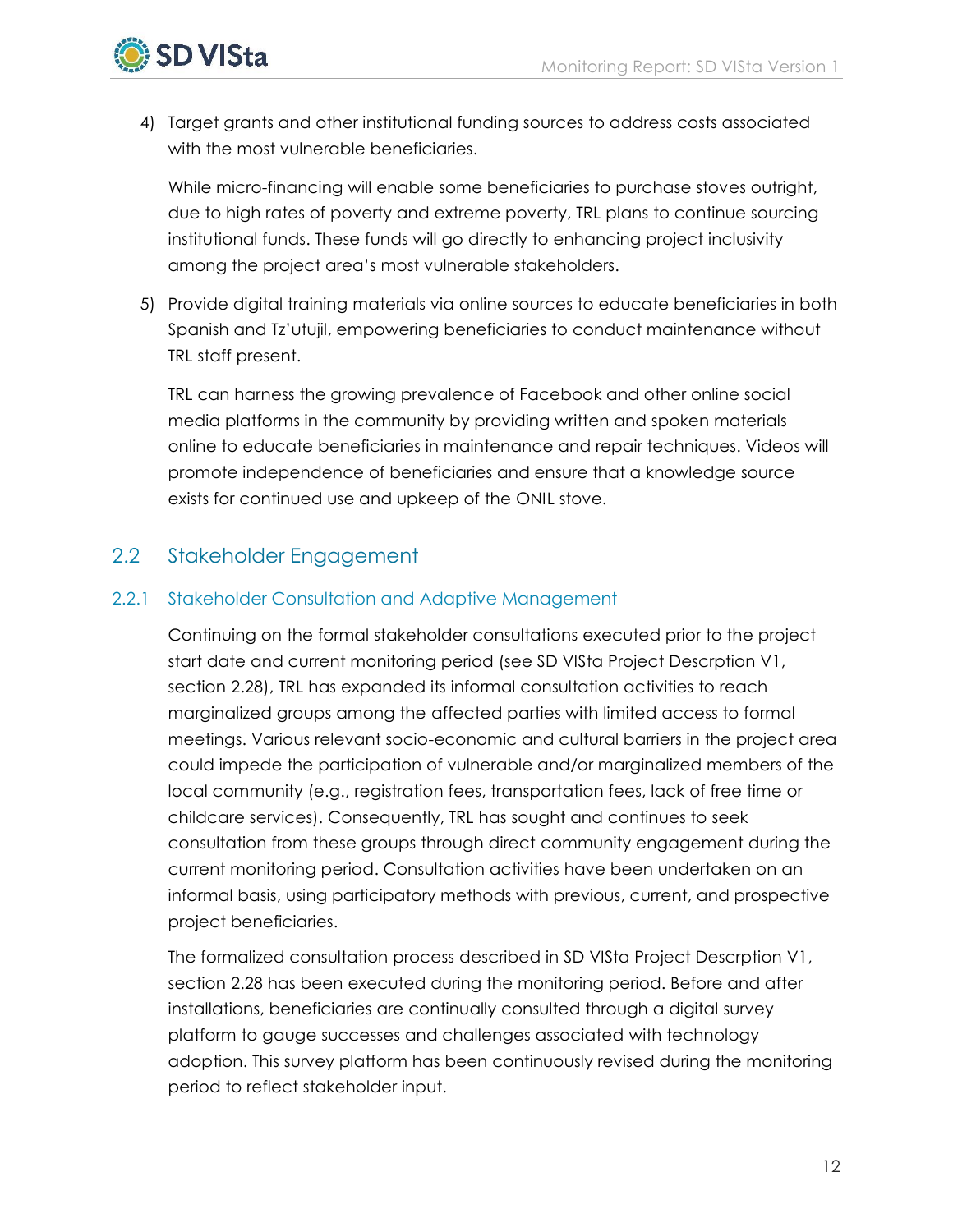

4) Target grants and other institutional funding sources to address costs associated with the most vulnerable beneficiaries.

While micro-financing will enable some beneficiaries to purchase stoves outright, due to high rates of poverty and extreme poverty, TRL plans to continue sourcing institutional funds. These funds will go directly to enhancing project inclusivity among the project area's most vulnerable stakeholders.

5) Provide digital training materials via online sources to educate beneficiaries in both Spanish and Tz'utujil, empowering beneficiaries to conduct maintenance without TRL staff present.

TRL can harness the growing prevalence of Facebook and other online social media platforms in the community by providing written and spoken materials online to educate beneficiaries in maintenance and repair techniques. Videos will promote independence of beneficiaries and ensure that a knowledge source exists for continued use and upkeep of the ONIL stove.

## <span id="page-13-0"></span>2.2 Stakeholder Engagement

## 2.2.1 Stakeholder Consultation and Adaptive Management

Continuing on the formal stakeholder consultations executed prior to the project start date and current monitoring period (see SD VISta Project Descrption V1, section 2.28), TRL has expanded its informal consultation activities to reach marginalized groups among the affected parties with limited access to formal meetings. Various relevant socio-economic and cultural barriers in the project area could impede the participation of vulnerable and/or marginalized members of the local community (e.g., registration fees, transportation fees, lack of free time or childcare services). Consequently, TRL has sought and continues to seek consultation from these groups through direct community engagement during the current monitoring period. Consultation activities have been undertaken on an informal basis, using participatory methods with previous, current, and prospective project beneficiaries.

The formalized consultation process described in SD VISta Project Descrption V1, section 2.28 has been executed during the monitoring period. Before and after installations, beneficiaries are continually consulted through a digital survey platform to gauge successes and challenges associated with technology adoption. This survey platform has been continuously revised during the monitoring period to reflect stakeholder input.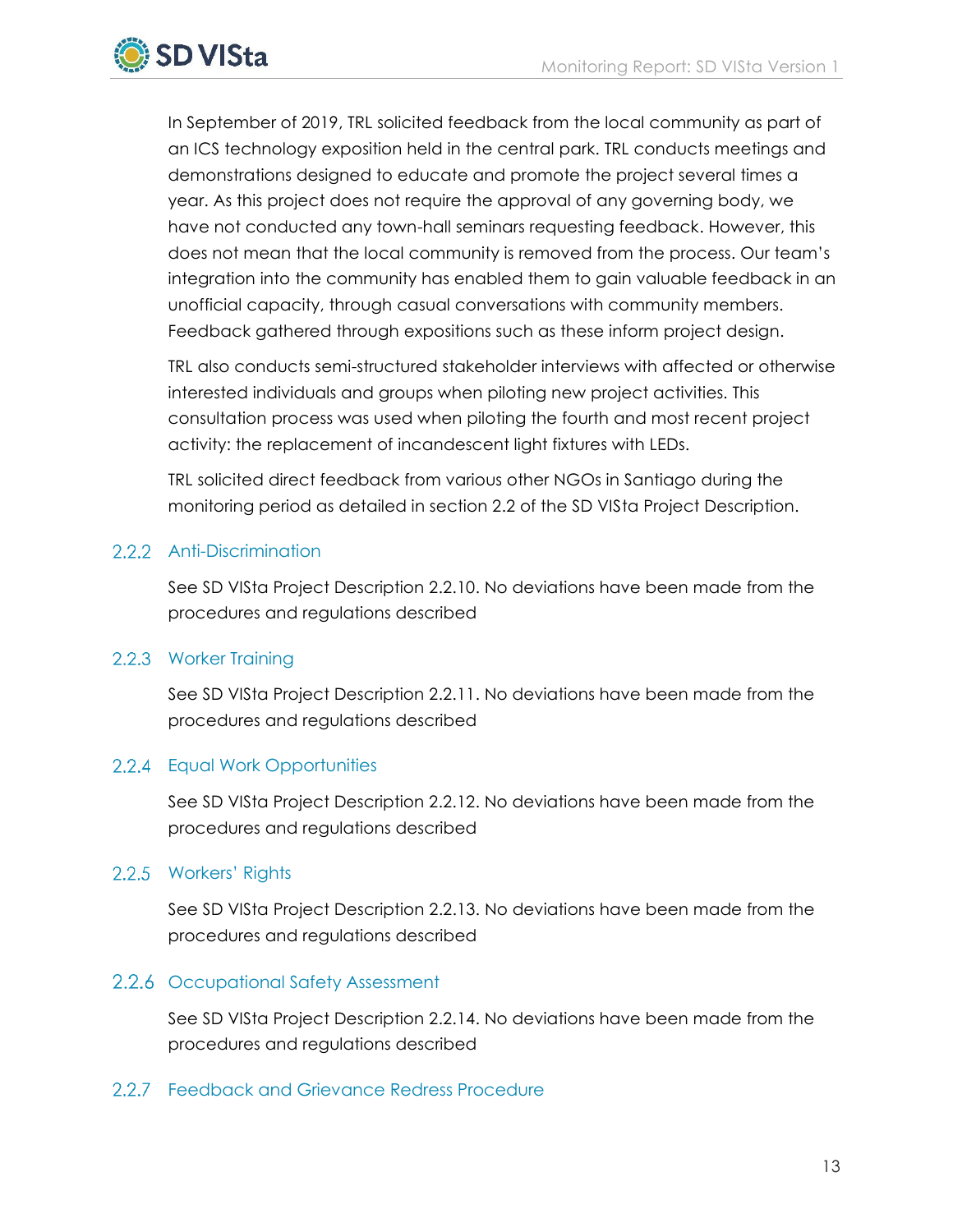

In September of 2019, TRL solicited feedback from the local community as part of an ICS technology exposition held in the central park. TRL conducts meetings and demonstrations designed to educate and promote the project several times a year. As this project does not require the approval of any governing body, we have not conducted any town-hall seminars requesting feedback. However, this does not mean that the local community is removed from the process. Our team's integration into the community has enabled them to gain valuable feedback in an unofficial capacity, through casual conversations with community members. Feedback gathered through expositions such as these inform project design.

TRL also conducts semi-structured stakeholder interviews with affected or otherwise interested individuals and groups when piloting new project activities. This consultation process was used when piloting the fourth and most recent project activity: the replacement of incandescent light fixtures with LEDs.

TRL solicited direct feedback from various other NGOs in Santiago during the monitoring period as detailed in section 2.2 of the SD VISta Project Description.

## 2.2.2 Anti-Discrimination

See SD VISta Project Description 2.2.10. No deviations have been made from the procedures and regulations described

## 2.2.3 Worker Training

See SD VISta Project Description 2.2.11. No deviations have been made from the procedures and regulations described

## 2.2.4 Equal Work Opportunities

See SD VISta Project Description 2.2.12. No deviations have been made from the procedures and regulations described

## 2.2.5 Workers' Rights

See SD VISta Project Description 2.2.13. No deviations have been made from the procedures and regulations described

## 2.2.6 Occupational Safety Assessment

See SD VISta Project Description 2.2.14. No deviations have been made from the procedures and regulations described

## 2.2.7 Feedback and Grievance Redress Procedure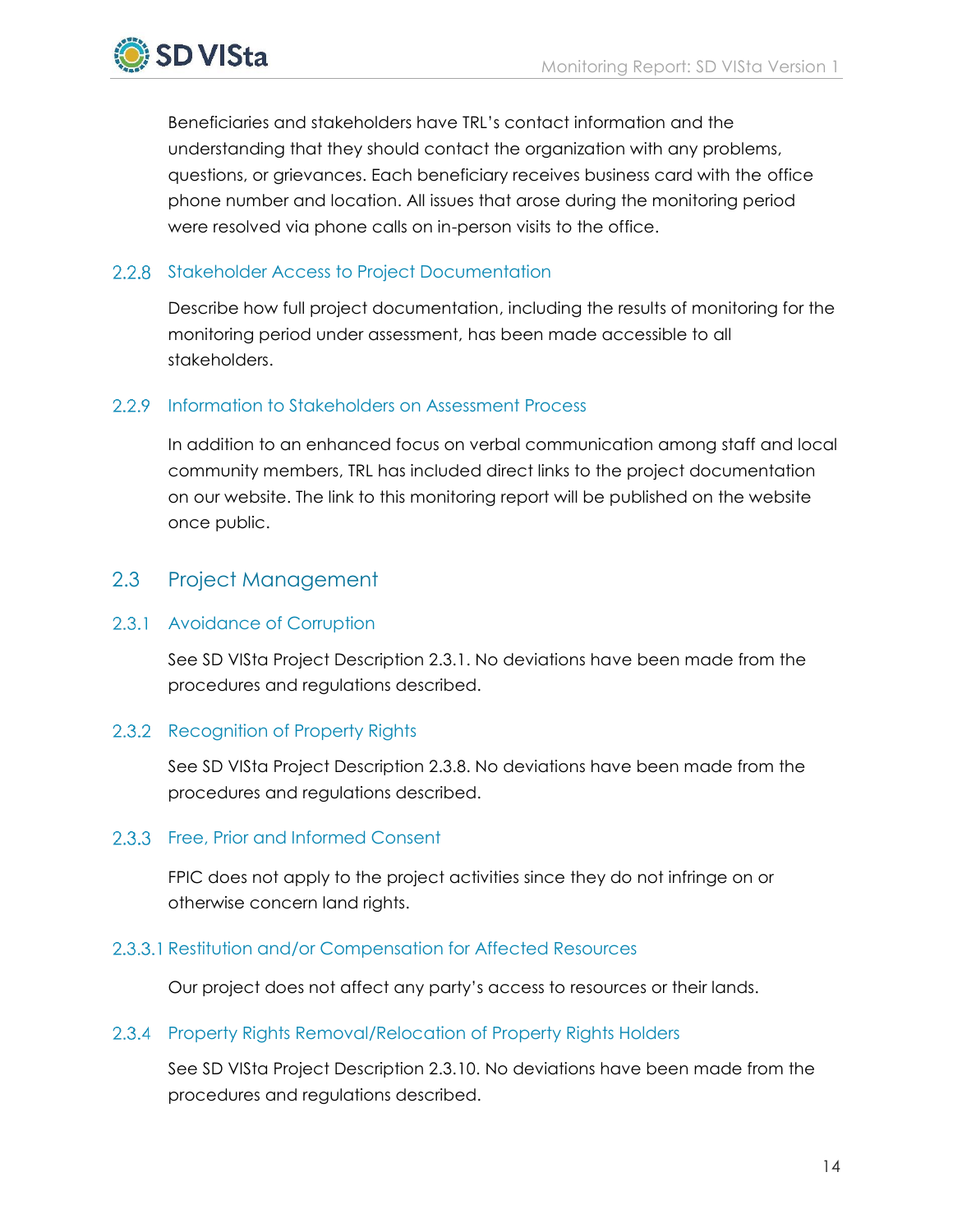

Beneficiaries and stakeholders have TRL's contact information and the understanding that they should contact the organization with any problems, questions, or grievances. Each beneficiary receives business card with the office phone number and location. All issues that arose during the monitoring period were resolved via phone calls on in-person visits to the office.

## 2.2.8 Stakeholder Access to Project Documentation

Describe how full project documentation, including the results of monitoring for the monitoring period under assessment, has been made accessible to all stakeholders.

## <span id="page-15-0"></span>2.2.9 Information to Stakeholders on Assessment Process

In addition to an enhanced focus on verbal communication among staff and local community members, TRL has included direct links to the project documentation on our website. The link to this monitoring report will be published on the website once public.

## 2.3 Project Management

## 2.3.1 Avoidance of Corruption

See SD VISta Project Description 2.3.1. No deviations have been made from the procedures and regulations described.

## 2.3.2 Recognition of Property Rights

See SD VISta Project Description 2.3.8. No deviations have been made from the procedures and regulations described.

## 2.3.3 Free, Prior and Informed Consent

FPIC does not apply to the project activities since they do not infringe on or otherwise concern land rights.

## 2.3.3.1 Restitution and/or Compensation for Affected Resources

Our project does not affect any party's access to resources or their lands.

## 2.3.4 Property Rights Removal/Relocation of Property Rights Holders

See SD VISta Project Description 2.3.10. No deviations have been made from the procedures and regulations described.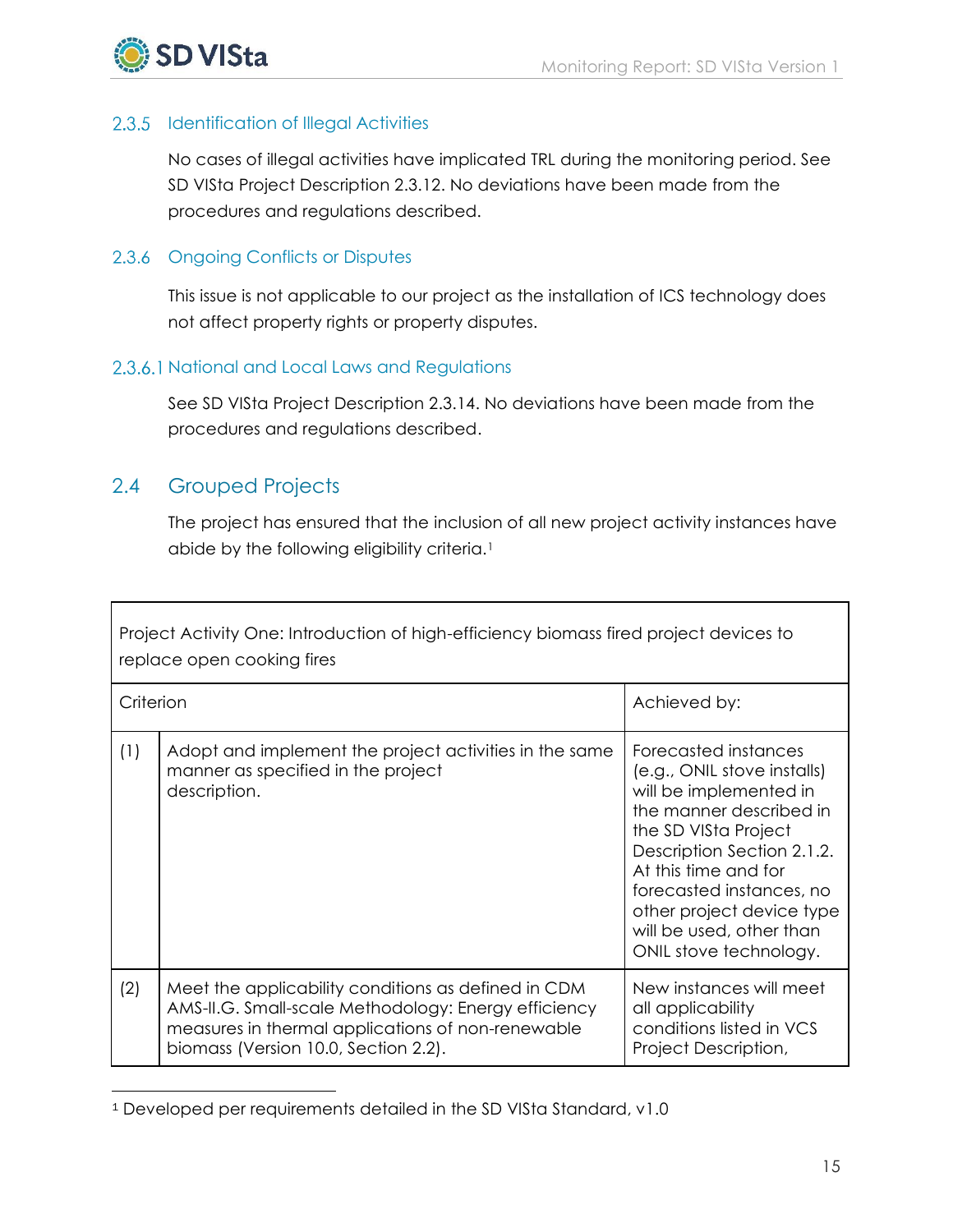

#### 2.3.5 Identification of Illegal Activities

No cases of illegal activities have implicated TRL during the monitoring period. See SD VISta Project Description 2.3.12. No deviations have been made from the procedures and regulations described.

#### 2.3.6 Ongoing Conflicts or Disputes

This issue is not applicable to our project as the installation of ICS technology does not affect property rights or property disputes.

#### 2.3.6.1 National and Local Laws and Regulations

See SD VISta Project Description 2.3.14. No deviations have been made from the procedures and regulations described.

## <span id="page-16-0"></span>2.4 Grouped Projects

 $\overline{a}$ 

The project has ensured that the inclusion of all new project activity instances have abide by the following eligibility criteria.<sup>1</sup>

| Project Activity One: Introduction of high-efficiency biomass fired project devices to<br>replace open cooking fires |                                                                                                                                                                                                          |                                                                                                                                                                                                                                                                                                       |  |  |  |  |
|----------------------------------------------------------------------------------------------------------------------|----------------------------------------------------------------------------------------------------------------------------------------------------------------------------------------------------------|-------------------------------------------------------------------------------------------------------------------------------------------------------------------------------------------------------------------------------------------------------------------------------------------------------|--|--|--|--|
| Criterion                                                                                                            |                                                                                                                                                                                                          | Achieved by:                                                                                                                                                                                                                                                                                          |  |  |  |  |
| (1)                                                                                                                  | Adopt and implement the project activities in the same<br>manner as specified in the project<br>description.                                                                                             | Forecasted instances<br>(e.g., ONIL stove installs)<br>will be implemented in<br>the manner described in<br>the SD VISta Project<br>Description Section 2.1.2.<br>At this time and for<br>forecasted instances, no<br>other project device type<br>will be used, other than<br>ONIL stove technology. |  |  |  |  |
| (2)                                                                                                                  | Meet the applicability conditions as defined in CDM<br>AMS-II.G. Small-scale Methodology: Energy efficiency<br>measures in thermal applications of non-renewable<br>biomass (Version 10.0, Section 2.2). | New instances will meet<br>all applicability<br>conditions listed in VCS<br>Project Description,                                                                                                                                                                                                      |  |  |  |  |

<sup>1</sup> Developed per requirements detailed in the SD VISta Standard, v1.0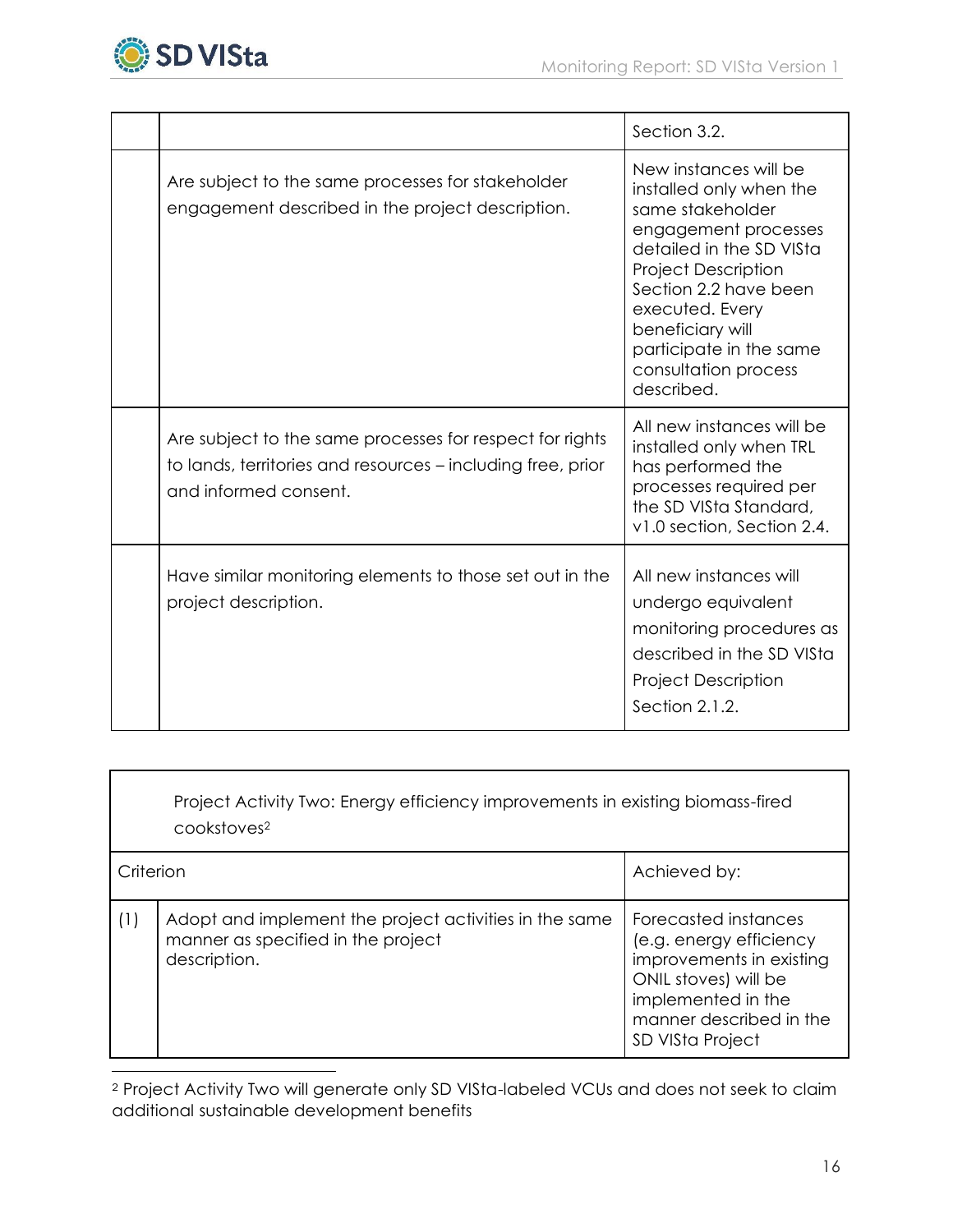

 $\overline{a}$ 

|                                                                                                                                                  | Section 3.2.                                                                                                                                                                                                                                                                            |
|--------------------------------------------------------------------------------------------------------------------------------------------------|-----------------------------------------------------------------------------------------------------------------------------------------------------------------------------------------------------------------------------------------------------------------------------------------|
| Are subject to the same processes for stakeholder<br>engagement described in the project description.                                            | New instances will be<br>installed only when the<br>same stakeholder<br>engagement processes<br>detailed in the SD VISta<br><b>Project Description</b><br>Section 2.2 have been<br>executed. Every<br>beneficiary will<br>participate in the same<br>consultation process<br>described. |
| Are subject to the same processes for respect for rights<br>to lands, territories and resources - including free, prior<br>and informed consent. | All new instances will be<br>installed only when TRL<br>has performed the<br>processes required per<br>the SD VISta Standard,<br>v1.0 section, Section 2.4.                                                                                                                             |
| Have similar monitoring elements to those set out in the<br>project description.                                                                 | All new instances will<br>undergo equivalent<br>monitoring procedures as<br>described in the SD VISta<br><b>Project Description</b><br>Section 2.1.2.                                                                                                                                   |

Project Activity Two: Energy efficiency improvements in existing biomass-fired cookstoves<sup>2</sup>

| Criterion |                                                                                                              | Achieved by:                                                                                                                                                             |
|-----------|--------------------------------------------------------------------------------------------------------------|--------------------------------------------------------------------------------------------------------------------------------------------------------------------------|
| (1)       | Adopt and implement the project activities in the same<br>manner as specified in the project<br>description. | Forecasted instances<br>(e.g. energy efficiency<br>improvements in existing<br>ONIL stoves) will be<br>implemented in the<br>manner described in the<br>SD VISta Project |

<sup>2</sup> Project Activity Two will generate only SD VISta-labeled VCUs and does not seek to claim additional sustainable development benefits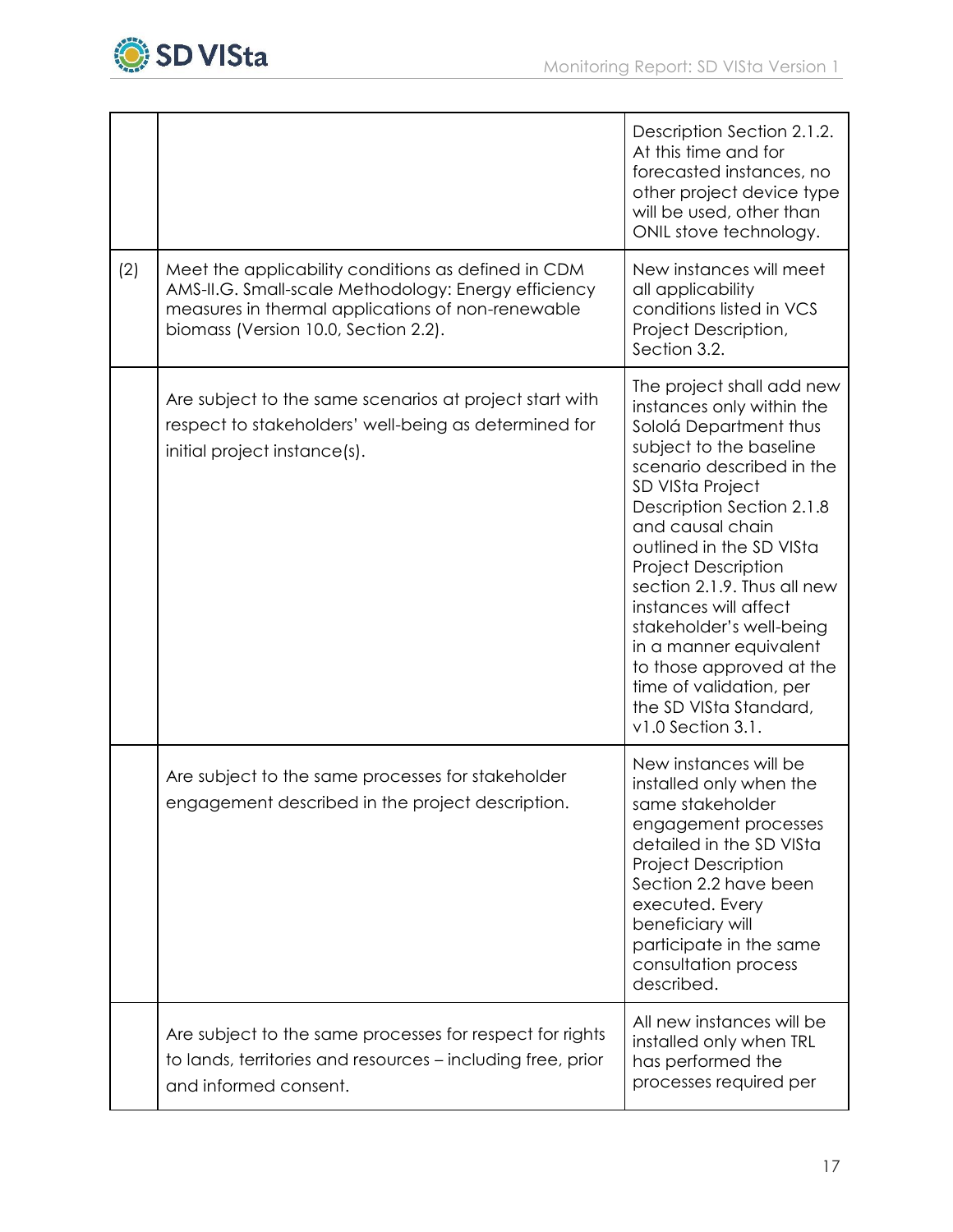

|     |                                                                                                                                                                                                          | Description Section 2.1.2.<br>At this time and for<br>forecasted instances, no<br>other project device type<br>will be used, other than<br>ONIL stove technology.                                                                                                                                                                                                                                                                                                                           |
|-----|----------------------------------------------------------------------------------------------------------------------------------------------------------------------------------------------------------|---------------------------------------------------------------------------------------------------------------------------------------------------------------------------------------------------------------------------------------------------------------------------------------------------------------------------------------------------------------------------------------------------------------------------------------------------------------------------------------------|
| (2) | Meet the applicability conditions as defined in CDM<br>AMS-II.G. Small-scale Methodology: Energy efficiency<br>measures in thermal applications of non-renewable<br>biomass (Version 10.0, Section 2.2). | New instances will meet<br>all applicability<br>conditions listed in VCS<br>Project Description,<br>Section 3.2.                                                                                                                                                                                                                                                                                                                                                                            |
|     | Are subject to the same scenarios at project start with<br>respect to stakeholders' well-being as determined for<br>initial project instance(s).                                                         | The project shall add new<br>instances only within the<br>Sololá Department thus<br>subject to the baseline<br>scenario described in the<br>SD VISta Project<br>Description Section 2.1.8<br>and causal chain<br>outlined in the SD VISta<br><b>Project Description</b><br>section 2.1.9. Thus all new<br>instances will affect<br>stakeholder's well-being<br>in a manner equivalent<br>to those approved at the<br>time of validation, per<br>the SD VISta Standard,<br>v1.0 Section 3.1. |
|     | Are subject to the same processes for stakeholder<br>engagement described in the project description.                                                                                                    | New instances will be<br>installed only when the<br>same stakeholder<br>engagement processes<br>detailed in the SD VISta<br><b>Project Description</b><br>Section 2.2 have been<br>executed. Every<br>beneficiary will<br>participate in the same<br>consultation process<br>described.                                                                                                                                                                                                     |
|     | Are subject to the same processes for respect for rights<br>to lands, territories and resources - including free, prior<br>and informed consent.                                                         | All new instances will be<br>installed only when TRL<br>has performed the<br>processes required per                                                                                                                                                                                                                                                                                                                                                                                         |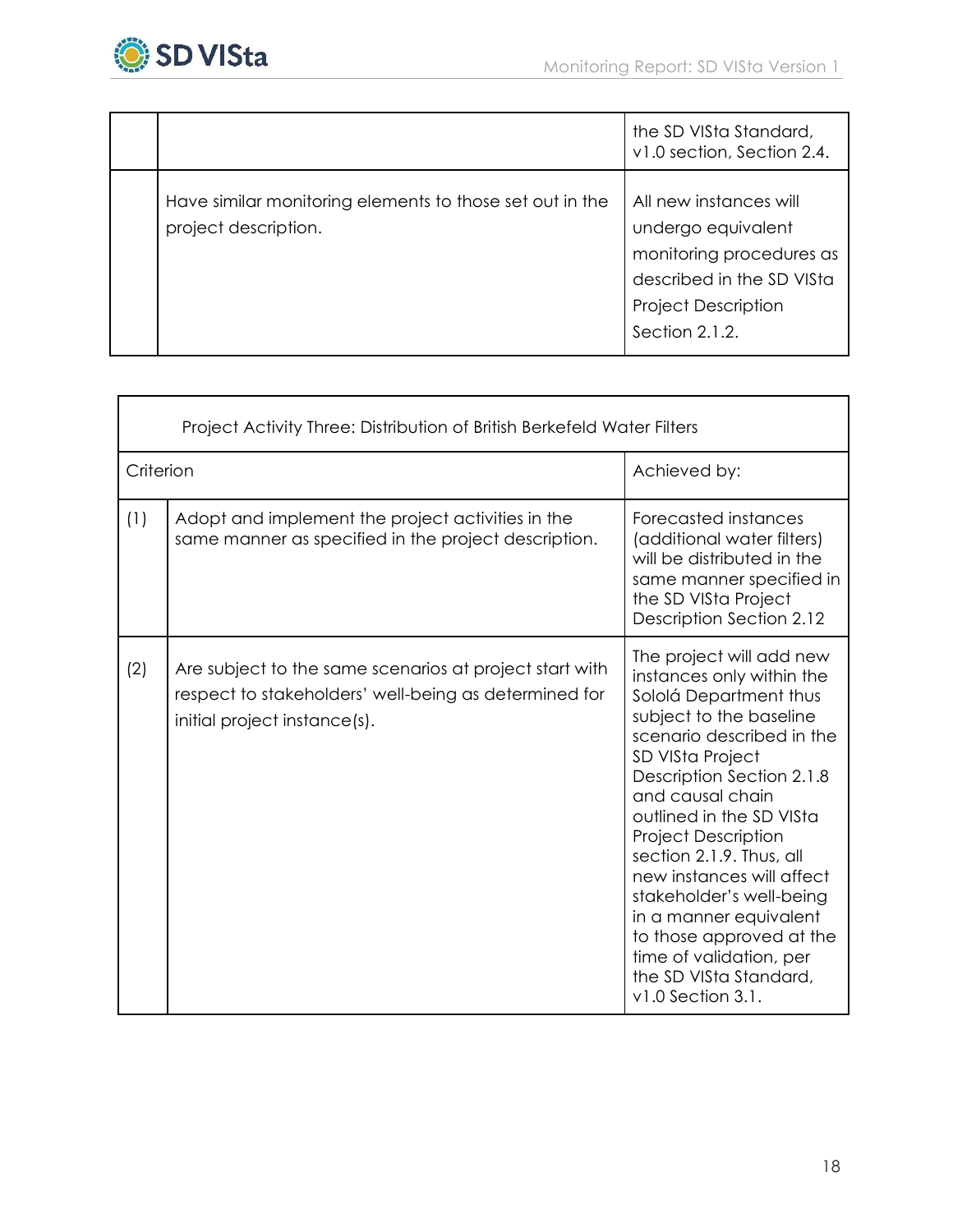

|                                                                                  | the SD VISta Standard,<br>v1.0 section, Section 2.4.                                                                                                  |
|----------------------------------------------------------------------------------|-------------------------------------------------------------------------------------------------------------------------------------------------------|
| Have similar monitoring elements to those set out in the<br>project description. | All new instances will<br>undergo equivalent<br>monitoring procedures as<br>described in the SD VISta<br><b>Project Description</b><br>Section 2.1.2. |

| Project Activity Three: Distribution of British Berkefeld Water Filters |                                                                                                                                                  |                                                                                                                                                                                                                                                                                                                                                                                                                                                                                               |
|-------------------------------------------------------------------------|--------------------------------------------------------------------------------------------------------------------------------------------------|-----------------------------------------------------------------------------------------------------------------------------------------------------------------------------------------------------------------------------------------------------------------------------------------------------------------------------------------------------------------------------------------------------------------------------------------------------------------------------------------------|
| Criterion                                                               |                                                                                                                                                  | Achieved by:                                                                                                                                                                                                                                                                                                                                                                                                                                                                                  |
| (1)                                                                     | Adopt and implement the project activities in the<br>same manner as specified in the project description.                                        | Forecasted instances<br>(additional water filters)<br>will be distributed in the<br>same manner specified in<br>the SD VISta Project<br>Description Section 2.12                                                                                                                                                                                                                                                                                                                              |
| (2)                                                                     | Are subject to the same scenarios at project start with<br>respect to stakeholders' well-being as determined for<br>initial project instance(s). | The project will add new<br>instances only within the<br>Sololá Department thus<br>subject to the baseline<br>scenario described in the<br>SD VISta Project<br>Description Section 2.1.8<br>and causal chain<br>outlined in the SD VISta<br><b>Project Description</b><br>section 2.1.9. Thus, all<br>new instances will affect<br>stakeholder's well-being<br>in a manner equivalent<br>to those approved at the<br>time of validation, per<br>the SD VISta Standard,<br>$v1.0$ Section 3.1. |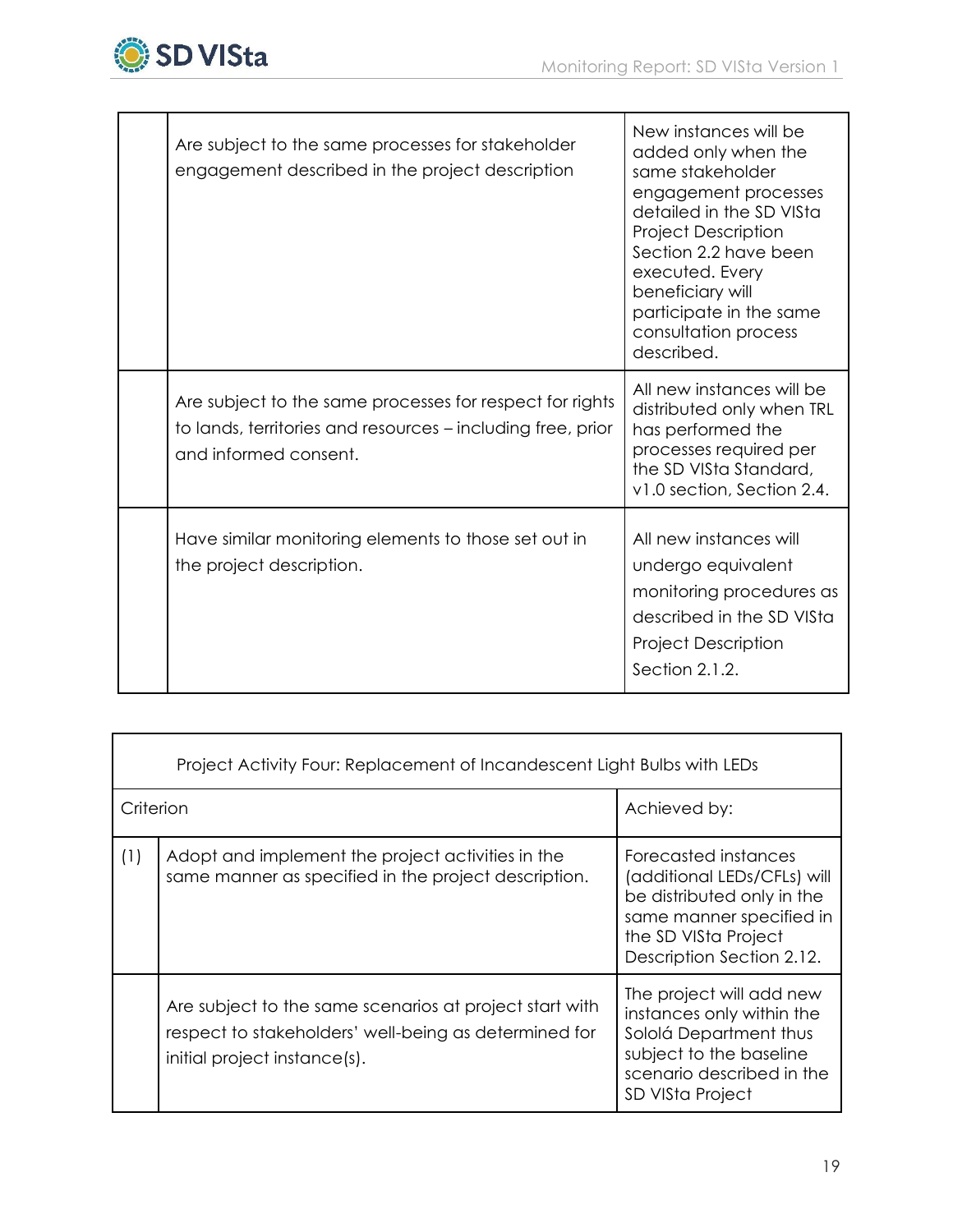

| All new instances will be<br>Are subject to the same processes for respect for rights<br>distributed only when TRL<br>to lands, territories and resources – including free, prior                                                         | participate in the same<br>consultation process |
|-------------------------------------------------------------------------------------------------------------------------------------------------------------------------------------------------------------------------------------------|-------------------------------------------------|
| has performed the<br>processes required per<br>and informed consent.<br>the SD VISta Standard,<br>v1.0 section, Section 2.4.                                                                                                              |                                                 |
| All new instances will<br>Have similar monitoring elements to those set out in<br>the project description.<br>undergo equivalent<br>monitoring procedures as<br>described in the SD VISta<br><b>Project Description</b><br>Section 2.1.2. |                                                 |

| Project Activity Four: Replacement of Incandescent Light Bulbs with LEDs |                                                                                                                                                  |                                                                                                                                                                    |
|--------------------------------------------------------------------------|--------------------------------------------------------------------------------------------------------------------------------------------------|--------------------------------------------------------------------------------------------------------------------------------------------------------------------|
| Criterion                                                                |                                                                                                                                                  | Achieved by:                                                                                                                                                       |
| (1)                                                                      | Adopt and implement the project activities in the<br>same manner as specified in the project description.                                        | Forecasted instances<br>(additional LEDs/CFLs) will<br>be distributed only in the<br>same manner specified in<br>the SD VISta Project<br>Description Section 2.12. |
|                                                                          | Are subject to the same scenarios at project start with<br>respect to stakeholders' well-being as determined for<br>initial project instance(s). | The project will add new<br>instances only within the<br>Sololá Department thus<br>subject to the baseline<br>scenario described in the<br>SD VISta Project        |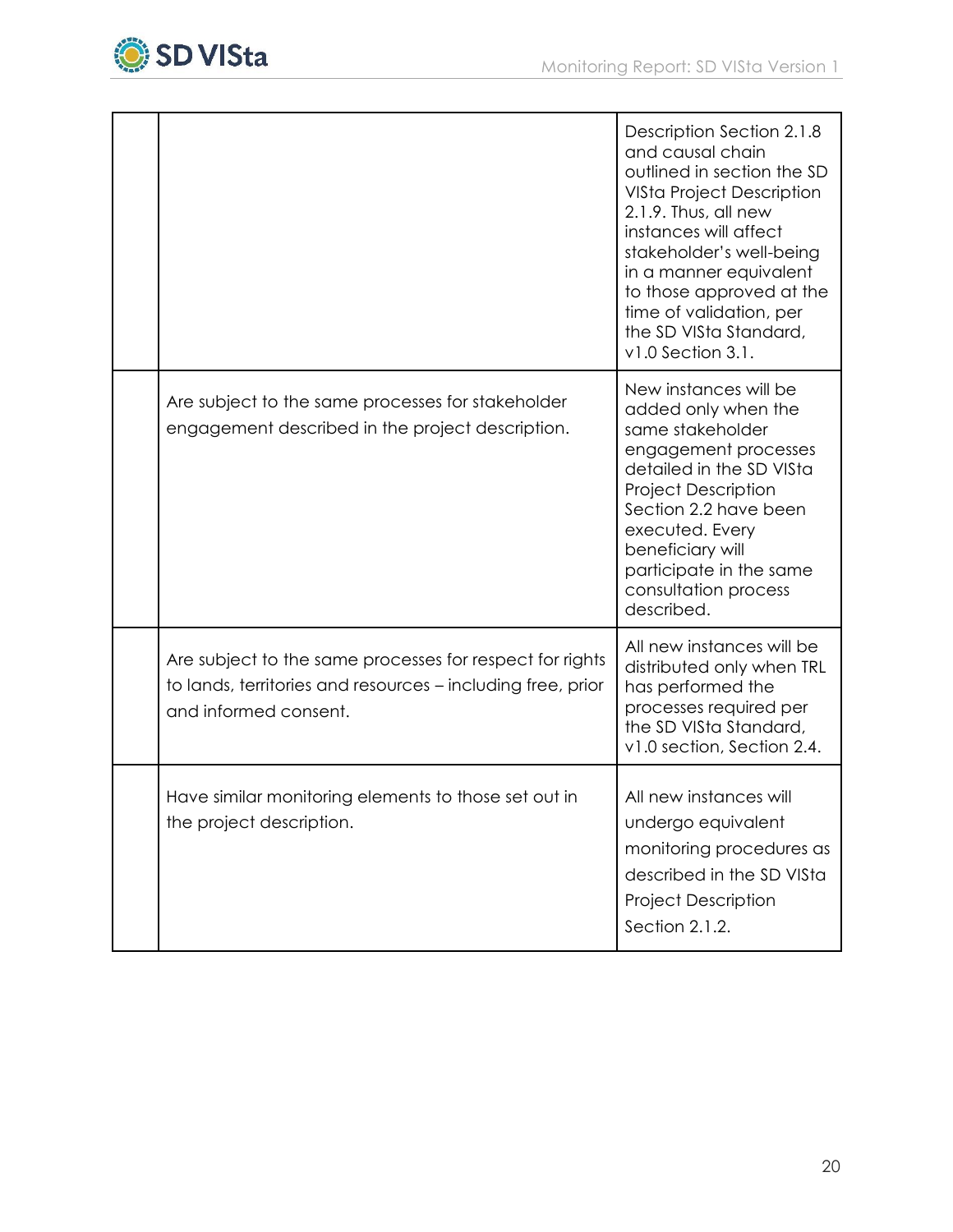

|                                                                                                                                                  | <b>Description Section 2.1.8</b><br>and causal chain<br>outlined in section the SD<br><b>VISta Project Description</b><br>2.1.9. Thus, all new<br>instances will affect<br>stakeholder's well-being<br>in a manner equivalent<br>to those approved at the<br>time of validation, per<br>the SD VISta Standard,<br>$v1.0$ Section 3.1. |
|--------------------------------------------------------------------------------------------------------------------------------------------------|---------------------------------------------------------------------------------------------------------------------------------------------------------------------------------------------------------------------------------------------------------------------------------------------------------------------------------------|
| Are subject to the same processes for stakeholder<br>engagement described in the project description.                                            | New instances will be<br>added only when the<br>same stakeholder<br>engagement processes<br>detailed in the SD VISta<br><b>Project Description</b><br>Section 2.2 have been<br>executed. Every<br>beneficiary will<br>participate in the same<br>consultation process<br>described.                                                   |
| Are subject to the same processes for respect for rights<br>to lands, territories and resources – including free, prior<br>and informed consent. | All new instances will be<br>distributed only when TRL<br>has performed the<br>processes required per<br>the SD VISta Standard,<br>v1.0 section, Section 2.4.                                                                                                                                                                         |
| Have similar monitoring elements to those set out in<br>the project description.                                                                 | All new instances will<br>undergo equivalent<br>monitoring procedures as<br>described in the SD VISta<br><b>Project Description</b><br>Section 2.1.2.                                                                                                                                                                                 |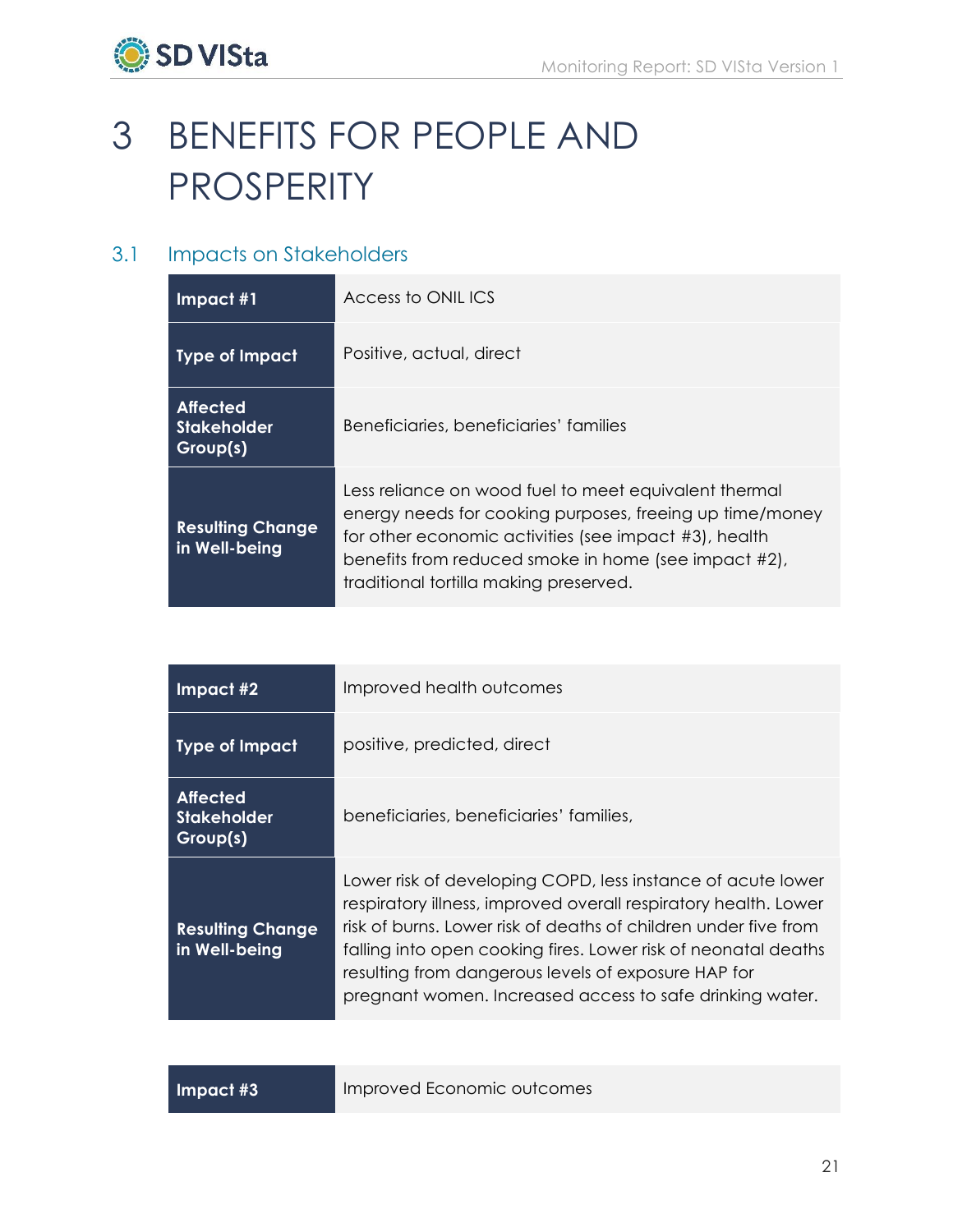

# <span id="page-22-0"></span>3 BENEFITS FOR PEOPLE AND PROSPERITY

# <span id="page-22-1"></span>3.1 Impacts on Stakeholders

| $Im$ pact #1                                      | Access to ONILICS                                                                                                                                                                                                                                                            |
|---------------------------------------------------|------------------------------------------------------------------------------------------------------------------------------------------------------------------------------------------------------------------------------------------------------------------------------|
| <b>Type of Impact</b>                             | Positive, actual, direct                                                                                                                                                                                                                                                     |
| <b>Affected</b><br><b>Stakeholder</b><br>Group(s) | Beneficiaries, beneficiaries' families                                                                                                                                                                                                                                       |
| <b>Resulting Change</b><br>in Well-being          | Less reliance on wood fuel to meet equivalent thermal<br>energy needs for cooking purposes, freeing up time/money<br>for other economic activities (see impact #3), health<br>benefits from reduced smoke in home (see impact #2),<br>traditional tortilla making preserved. |

| Impact #2                                         | Improved health outcomes                                                                                                                                                                                                                                                                                                                                                               |
|---------------------------------------------------|----------------------------------------------------------------------------------------------------------------------------------------------------------------------------------------------------------------------------------------------------------------------------------------------------------------------------------------------------------------------------------------|
| <b>Type of Impact</b>                             | positive, predicted, direct                                                                                                                                                                                                                                                                                                                                                            |
| <b>Affected</b><br><b>Stakeholder</b><br>Group(s) | beneficiaries, beneficiaries' families,                                                                                                                                                                                                                                                                                                                                                |
| <b>Resulting Change</b><br>in Well-being          | Lower risk of developing COPD, less instance of acute lower<br>respiratory illness, improved overall respiratory health. Lower<br>risk of burns. Lower risk of deaths of children under five from<br>falling into open cooking fires. Lower risk of neonatal deaths<br>resulting from dangerous levels of exposure HAP for<br>pregnant women. Increased access to safe drinking water. |

**Impact #3** Improved Economic outcomes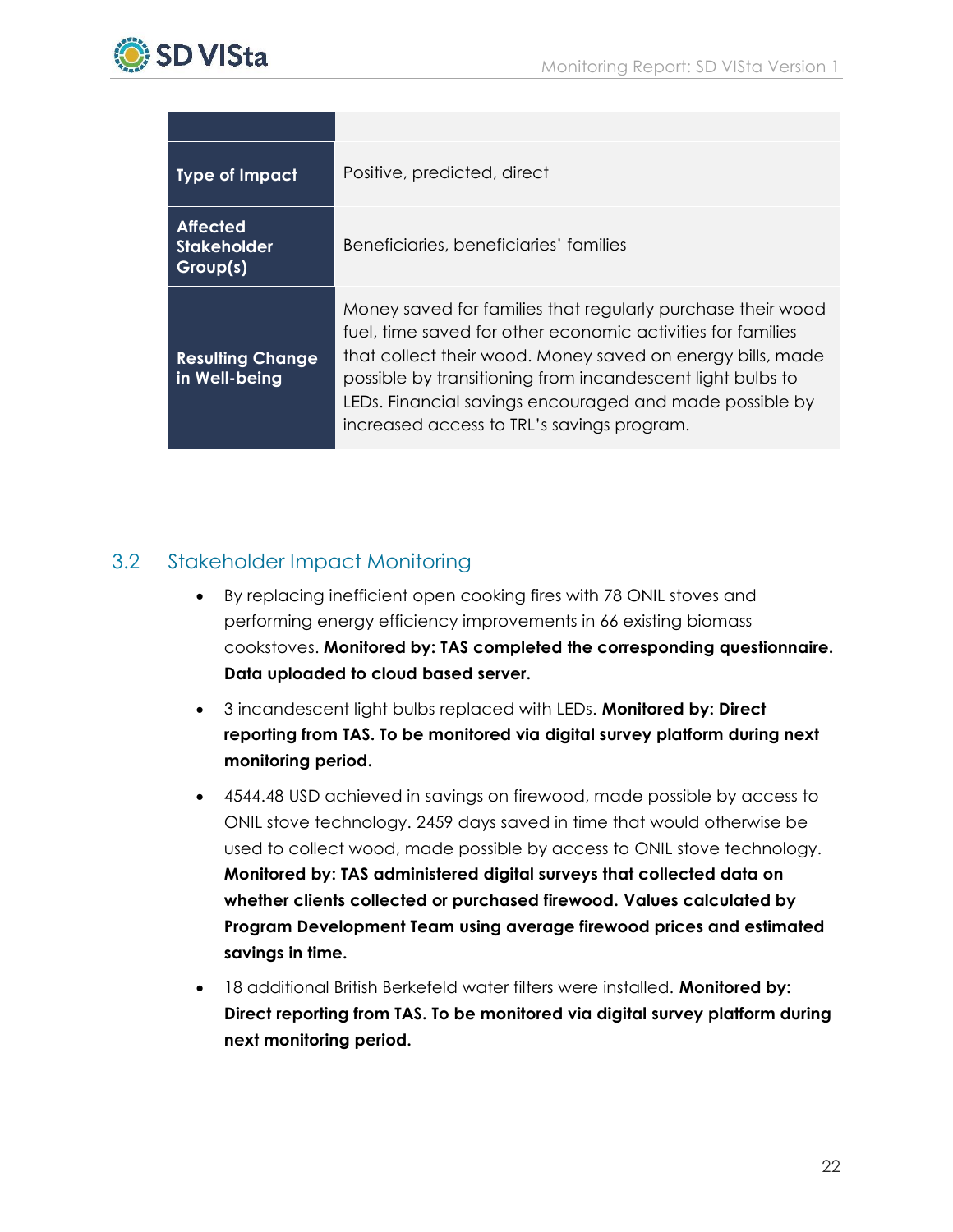

| <b>Type of Impact</b>                             | Positive, predicted, direct                                                                                                                                                                                                                                                                                                                                     |
|---------------------------------------------------|-----------------------------------------------------------------------------------------------------------------------------------------------------------------------------------------------------------------------------------------------------------------------------------------------------------------------------------------------------------------|
| <b>Affected</b><br><b>Stakeholder</b><br>Group(s) | Beneficiaries, beneficiaries' families                                                                                                                                                                                                                                                                                                                          |
| <b>Resulting Change</b><br>in Well-being          | Money saved for families that regularly purchase their wood<br>fuel, time saved for other economic activities for families<br>that collect their wood. Money saved on energy bills, made<br>possible by transitioning from incandescent light bulbs to<br>LEDs. Financial savings encouraged and made possible by<br>increased access to TRL's savings program. |

## <span id="page-23-0"></span>3.2 Stakeholder Impact Monitoring

- By replacing inefficient open cooking fires with 78 ONIL stoves and performing energy efficiency improvements in 66 existing biomass cookstoves. **Monitored by: TAS completed the corresponding questionnaire. Data uploaded to cloud based server.**
- 3 incandescent light bulbs replaced with LEDs. **Monitored by: Direct reporting from TAS. To be monitored via digital survey platform during next monitoring period.**
- 4544.48 USD achieved in savings on firewood, made possible by access to ONIL stove technology. 2459 days saved in time that would otherwise be used to collect wood, made possible by access to ONIL stove technology. **Monitored by: TAS administered digital surveys that collected data on whether clients collected or purchased firewood. Values calculated by Program Development Team using average firewood prices and estimated savings in time.**
- 18 additional British Berkefeld water filters were installed. **Monitored by: Direct reporting from TAS. To be monitored via digital survey platform during next monitoring period.**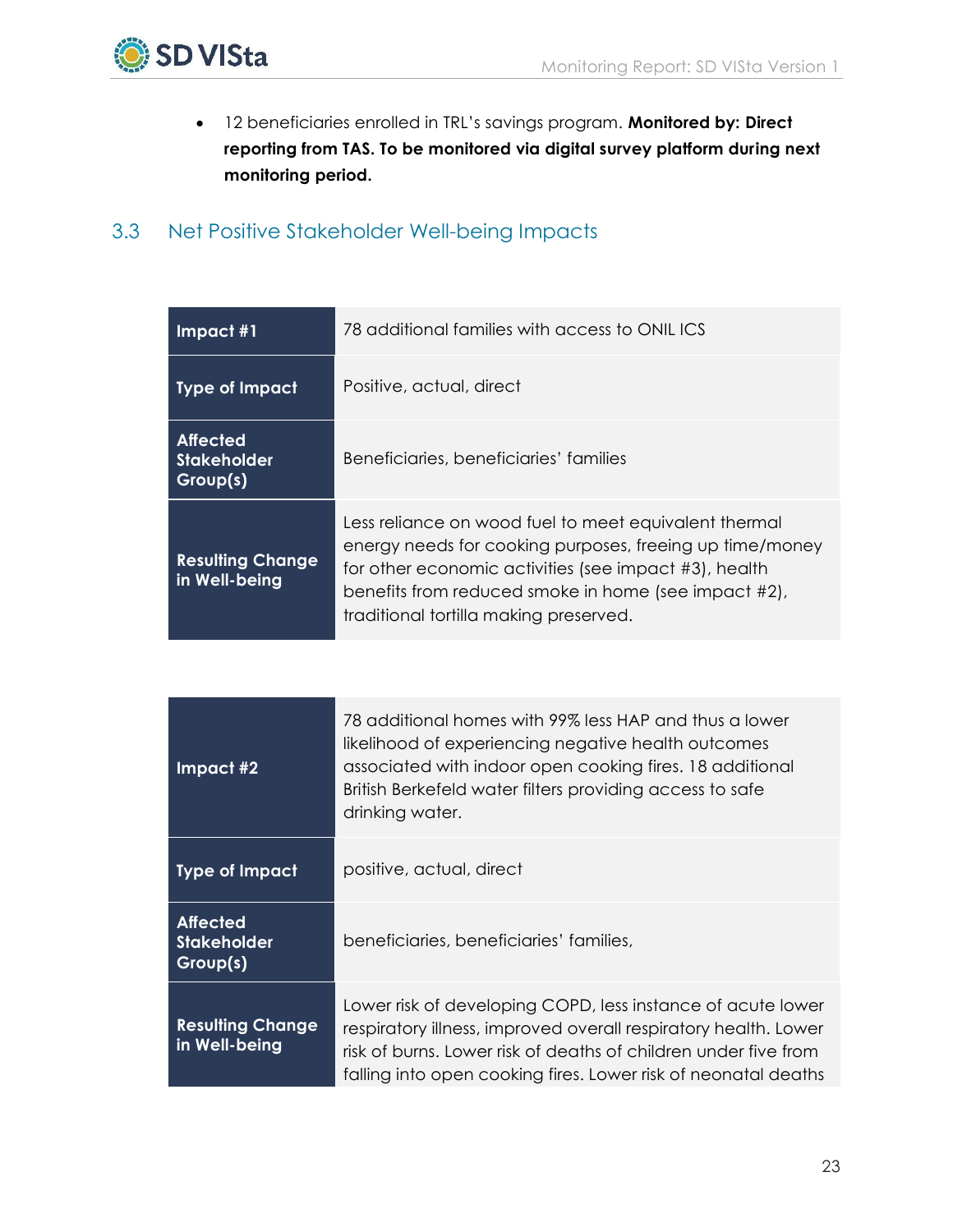

<span id="page-24-1"></span> 12 beneficiaries enrolled in TRL's savings program. **Monitored by: Direct reporting from TAS. To be monitored via digital survey platform during next monitoring period.**

## <span id="page-24-0"></span>3.3 Net Positive Stakeholder Well-being Impacts

| $Im$ pact #1                                      | 78 additional families with access to ONILICS                                                                                                                                                                                                                                |
|---------------------------------------------------|------------------------------------------------------------------------------------------------------------------------------------------------------------------------------------------------------------------------------------------------------------------------------|
| Type of Impact                                    | Positive, actual, direct                                                                                                                                                                                                                                                     |
| <b>Affected</b><br><b>Stakeholder</b><br>Group(s) | Beneficiaries, beneficiaries' families                                                                                                                                                                                                                                       |
| <b>Resulting Change</b><br>in Well-being          | Less reliance on wood fuel to meet equivalent thermal<br>energy needs for cooking purposes, freeing up time/money<br>for other economic activities (see impact #3), health<br>benefits from reduced smoke in home (see impact #2),<br>traditional tortilla making preserved. |

| $Im$ pact #2                                      | 78 additional homes with 99% less HAP and thus a lower<br>likelihood of experiencing negative health outcomes<br>associated with indoor open cooking fires. 18 additional<br>British Berkefeld water filters providing access to safe<br>drinking water.            |
|---------------------------------------------------|---------------------------------------------------------------------------------------------------------------------------------------------------------------------------------------------------------------------------------------------------------------------|
| <b>Type of Impact</b>                             | positive, actual, direct                                                                                                                                                                                                                                            |
| <b>Affected</b><br><b>Stakeholder</b><br>Group(s) | beneficiaries, beneficiaries' families,                                                                                                                                                                                                                             |
| <b>Resulting Change</b><br>in Well-being          | Lower risk of developing COPD, less instance of acute lower<br>respiratory illness, improved overall respiratory health. Lower<br>risk of burns. Lower risk of deaths of children under five from<br>falling into open cooking fires. Lower risk of neonatal deaths |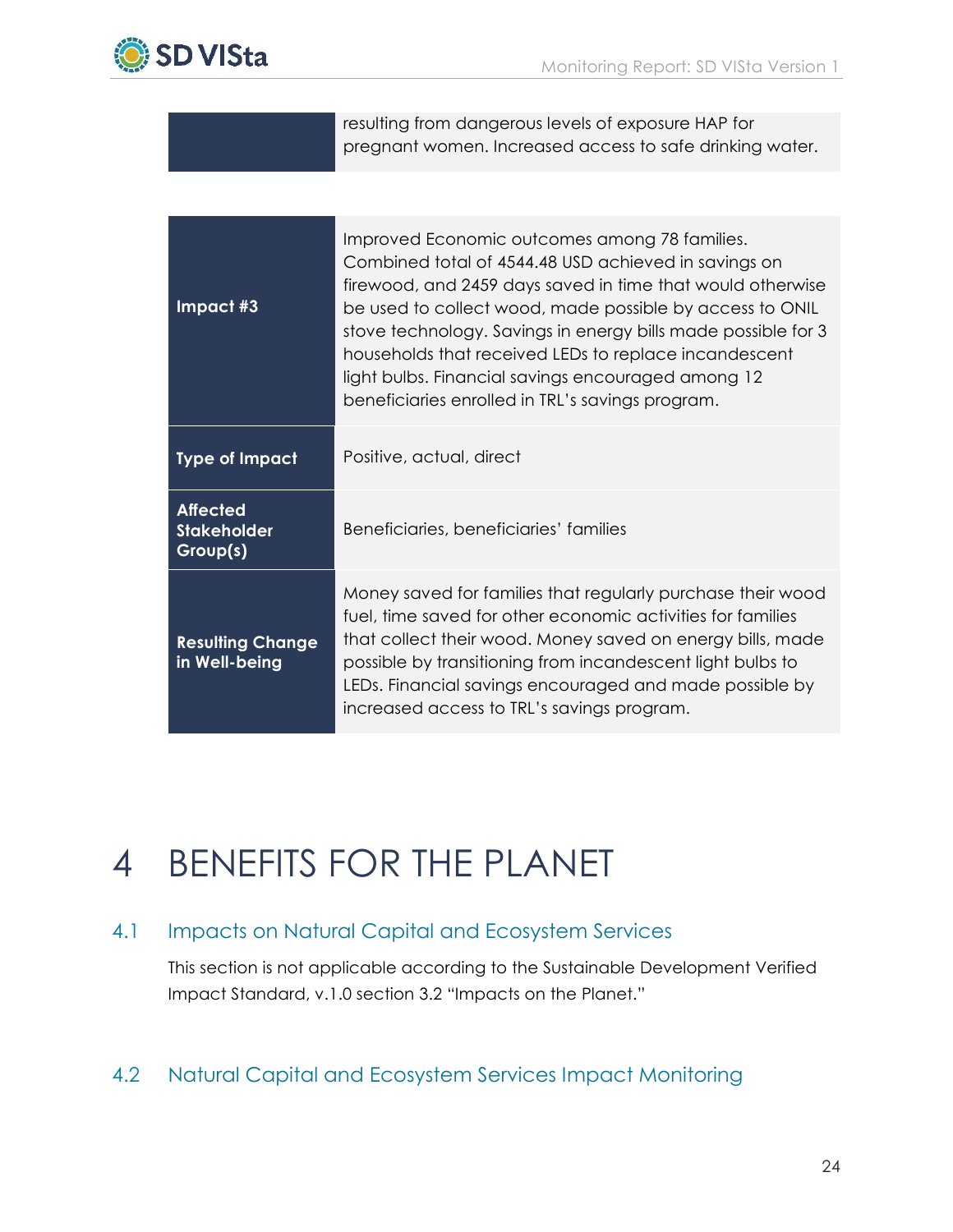

|                                                   | resulting from dangerous levels of exposure HAP for<br>pregnant women. Increased access to safe drinking water.                                                                                                                                                                                                                                                                                                                                                     |
|---------------------------------------------------|---------------------------------------------------------------------------------------------------------------------------------------------------------------------------------------------------------------------------------------------------------------------------------------------------------------------------------------------------------------------------------------------------------------------------------------------------------------------|
|                                                   |                                                                                                                                                                                                                                                                                                                                                                                                                                                                     |
| Impact #3                                         | Improved Economic outcomes among 78 families.<br>Combined total of 4544.48 USD achieved in savings on<br>firewood, and 2459 days saved in time that would otherwise<br>be used to collect wood, made possible by access to ONIL<br>stove technology. Savings in energy bills made possible for 3<br>households that received LEDs to replace incandescent<br>light bulbs. Financial savings encouraged among 12<br>beneficiaries enrolled in TRL's savings program. |
| <b>Type of Impact</b>                             | Positive, actual, direct                                                                                                                                                                                                                                                                                                                                                                                                                                            |
| <b>Affected</b><br><b>Stakeholder</b><br>Group(s) | Beneficiaries, beneficiaries' families                                                                                                                                                                                                                                                                                                                                                                                                                              |
| <b>Resulting Change</b><br>in Well-being          | Money saved for families that regularly purchase their wood<br>fuel, time saved for other economic activities for families<br>that collect their wood. Money saved on energy bills, made<br>possible by transitioning from incandescent light bulbs to<br>LEDs. Financial savings encouraged and made possible by<br>increased access to TRL's savings program.                                                                                                     |

# 4 BENEFITS FOR THE PLANET

# <span id="page-25-0"></span>4.1 Impacts on Natural Capital and Ecosystem Services

This section is not applicable according to the Sustainable Development Verified Impact Standard, v.1.0 section 3.2 "Impacts on the Planet."

# <span id="page-25-1"></span>4.2 Natural Capital and Ecosystem Services Impact Monitoring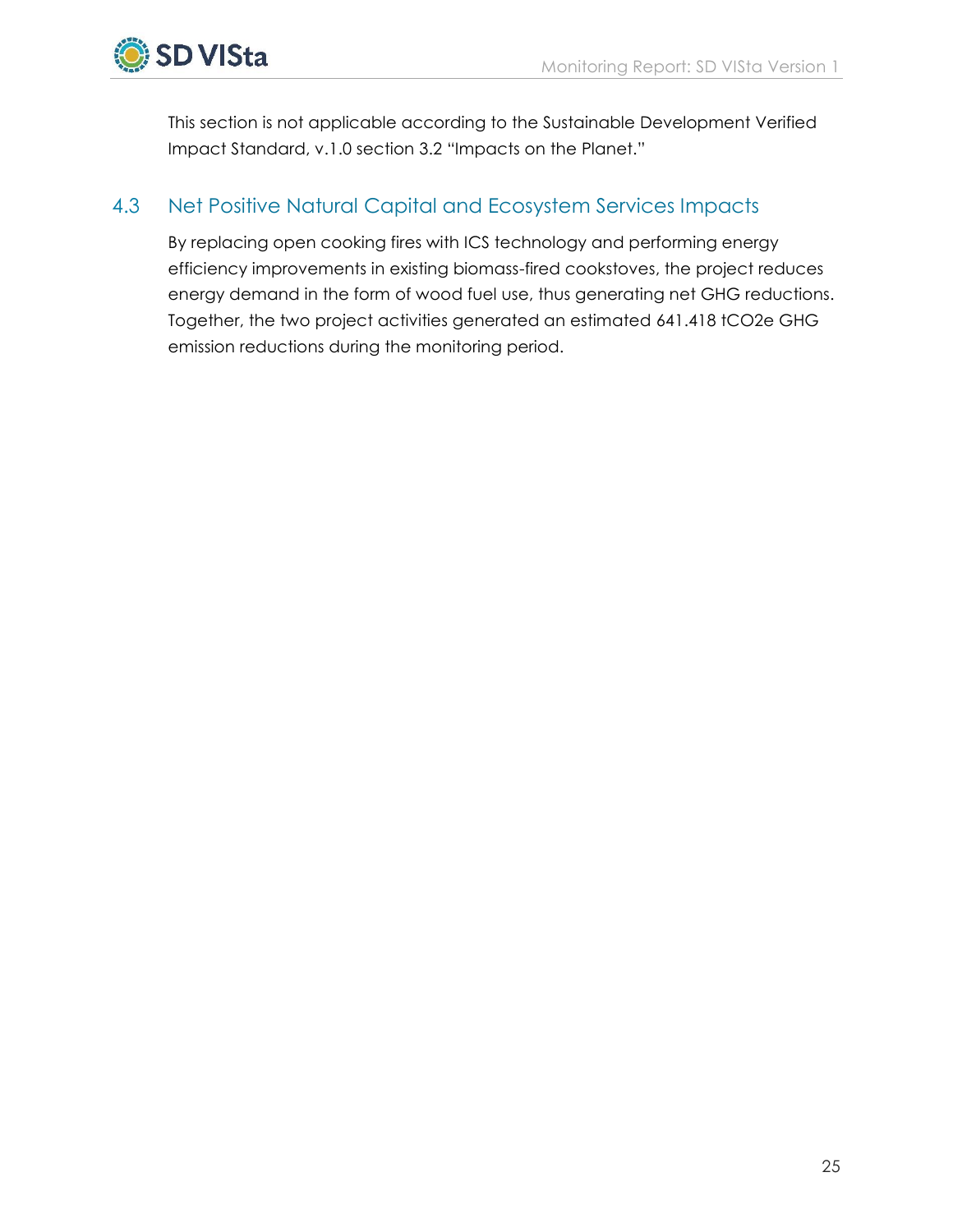

<span id="page-26-0"></span>This section is not applicable according to the Sustainable Development Verified Impact Standard, v.1.0 section 3.2 "Impacts on the Planet."

## 4.3 Net Positive Natural Capital and Ecosystem Services Impacts

By replacing open cooking fires with ICS technology and performing energy efficiency improvements in existing biomass-fired cookstoves, the project reduces energy demand in the form of wood fuel use, thus generating net GHG reductions. Together, the two project activities generated an estimated 641.418 tCO2e GHG emission reductions during the monitoring period.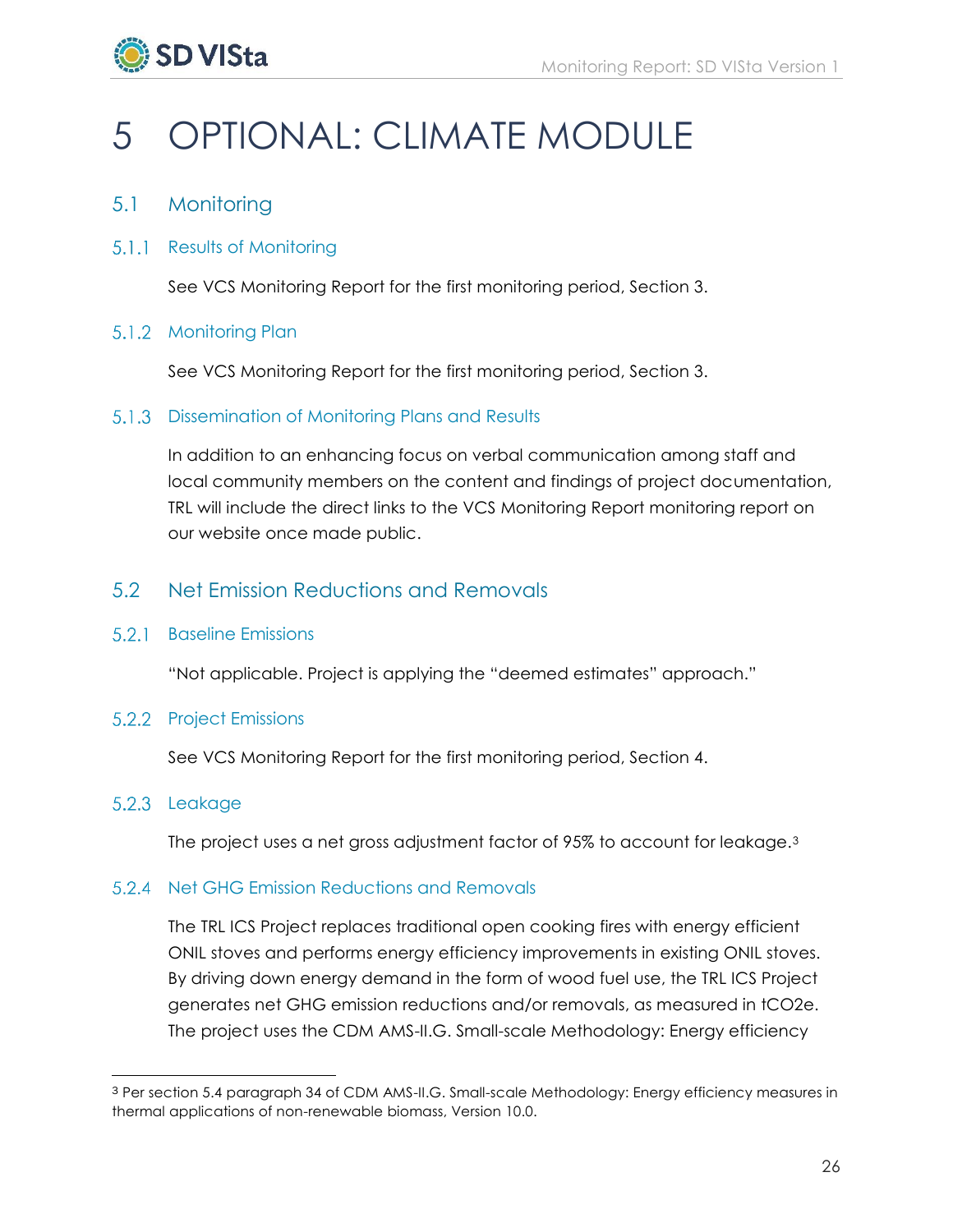

# <span id="page-27-0"></span>5 OPTIONAL: CLIMATE MODULE

## <span id="page-27-1"></span>5.1 Monitoring

## 5.1.1 Results of Monitoring

See VCS Monitoring Report for the first monitoring period, Section 3.

#### 5.1.2 Monitoring Plan

See VCS Monitoring Report for the first monitoring period, Section 3.

## <span id="page-27-2"></span>5.1.3 Dissemination of Monitoring Plans and Results

In addition to an enhancing focus on verbal communication among staff and local community members on the content and findings of project documentation, TRL will include the direct links to the VCS Monitoring Report monitoring report on our website once made public.

## 5.2 Net Emission Reductions and Removals

#### 5.2.1 Baseline Emissions

"Not applicable. Project is applying the "deemed estimates" approach."

## 5.2.2 Project Emissions

See VCS Monitoring Report for the first monitoring period, Section 4.

## 5.2.3 Leakage

 $\overline{a}$ 

The project uses a net gross adjustment factor of 95% to account for leakage.<sup>3</sup>

## 5.2.4 Net GHG Emission Reductions and Removals

The TRL ICS Project replaces traditional open cooking fires with energy efficient ONIL stoves and performs energy efficiency improvements in existing ONIL stoves. By driving down energy demand in the form of wood fuel use, the TRL ICS Project generates net GHG emission reductions and/or removals, as measured in tCO2e. The project uses the CDM AMS-II.G. Small-scale Methodology: Energy efficiency

<sup>3</sup> Per section 5.4 paragraph 34 of CDM AMS-II.G. Small-scale Methodology: Energy efficiency measures in thermal applications of non-renewable biomass, Version 10.0.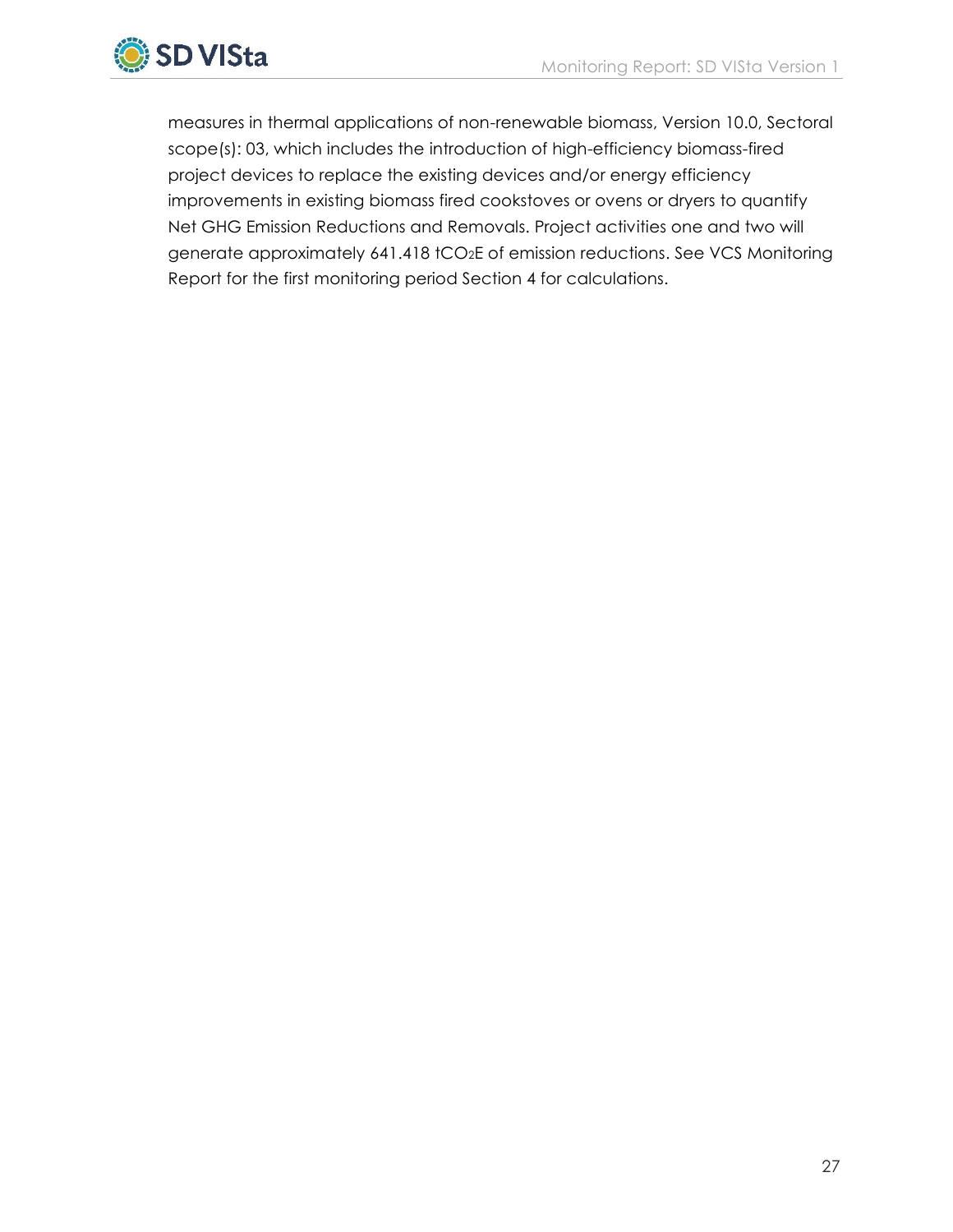

measures in thermal applications of non-renewable biomass, Version 10.0, Sectoral scope(s): 03, which includes the introduction of high-efficiency biomass-fired project devices to replace the existing devices and/or energy efficiency improvements in existing biomass fired cookstoves or ovens or dryers to quantify Net GHG Emission Reductions and Removals. Project activities one and two will generate approximately 641.418 tCO<sub>2</sub>E of emission reductions. See VCS Monitoring Report for the first monitoring period Section 4 for calculations.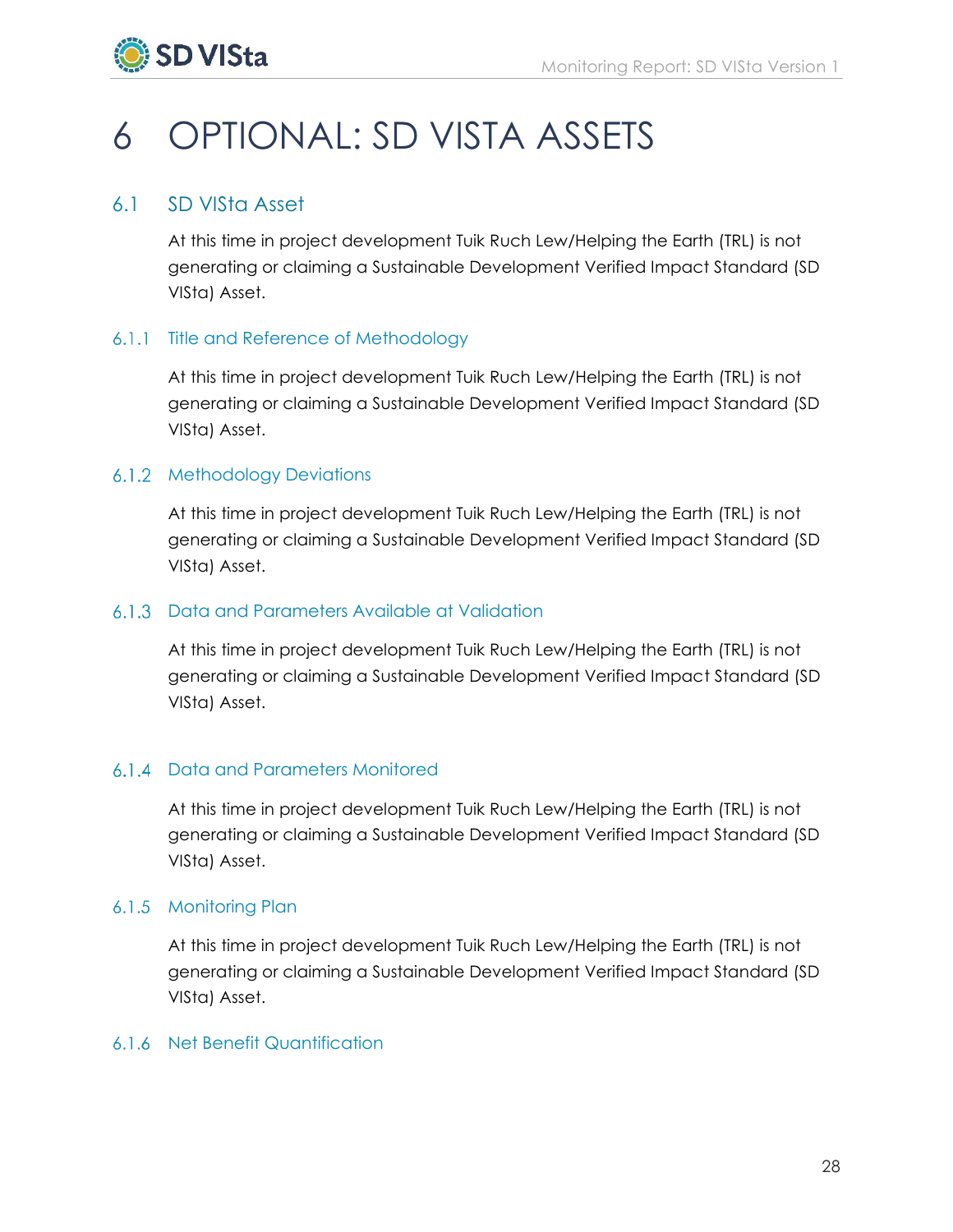

# <span id="page-29-0"></span>6 OPTIONAL: SD VISTA ASSETS

## <span id="page-29-1"></span>6.1 SD VISta Asset

At this time in project development Tuik Ruch Lew/Helping the Earth (TRL) is not generating or claiming a Sustainable Development Verified Impact Standard (SD VISta) Asset.

## 6.1.1 Title and Reference of Methodology

At this time in project development Tuik Ruch Lew/Helping the Earth (TRL) is not generating or claiming a Sustainable Development Verified Impact Standard (SD VISta) Asset.

## 6.1.2 Methodology Deviations

At this time in project development Tuik Ruch Lew/Helping the Earth (TRL) is not generating or claiming a Sustainable Development Verified Impact Standard (SD VISta) Asset.

## Data and Parameters Available at Validation

At this time in project development Tuik Ruch Lew/Helping the Earth (TRL) is not generating or claiming a Sustainable Development Verified Impact Standard (SD VISta) Asset.

## 6.1.4 Data and Parameters Monitored

At this time in project development Tuik Ruch Lew/Helping the Earth (TRL) is not generating or claiming a Sustainable Development Verified Impact Standard (SD VISta) Asset.

## 6.1.5 Monitoring Plan

At this time in project development Tuik Ruch Lew/Helping the Earth (TRL) is not generating or claiming a Sustainable Development Verified Impact Standard (SD VISta) Asset.

## 6.1.6 Net Benefit Quantification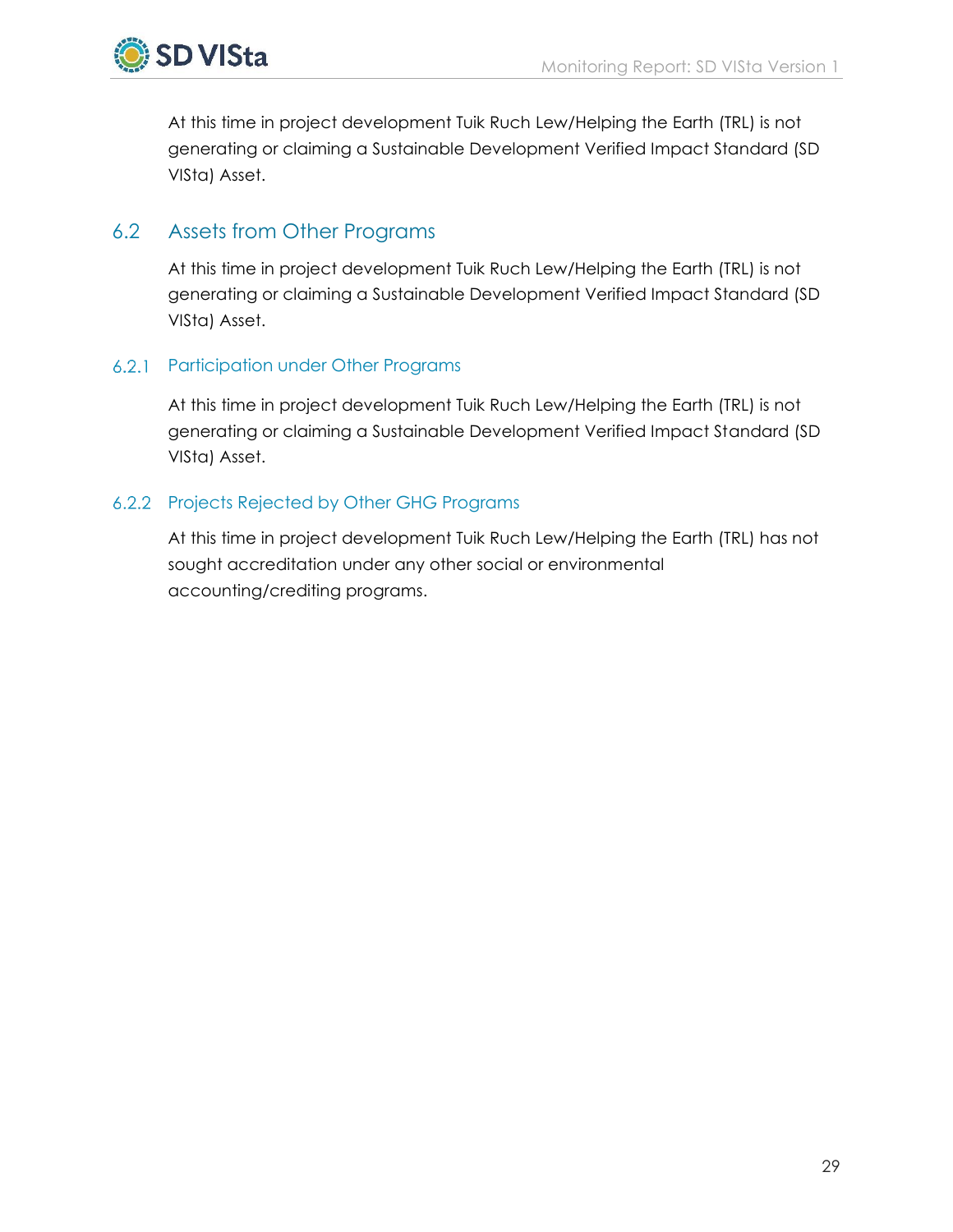At this time in project development Tuik Ruch Lew/Helping the Earth (TRL) is not generating or claiming a Sustainable Development Verified Impact Standard (SD VISta) Asset.

## <span id="page-30-0"></span>6.2 Assets from Other Programs

At this time in project development Tuik Ruch Lew/Helping the Earth (TRL) is not generating or claiming a Sustainable Development Verified Impact Standard (SD VISta) Asset.

## 6.2.1 Participation under Other Programs

At this time in project development Tuik Ruch Lew/Helping the Earth (TRL) is not generating or claiming a Sustainable Development Verified Impact Standard (SD VISta) Asset.

## 6.2.2 Projects Rejected by Other GHG Programs

At this time in project development Tuik Ruch Lew/Helping the Earth (TRL) has not sought accreditation under any other social or environmental accounting/crediting programs.